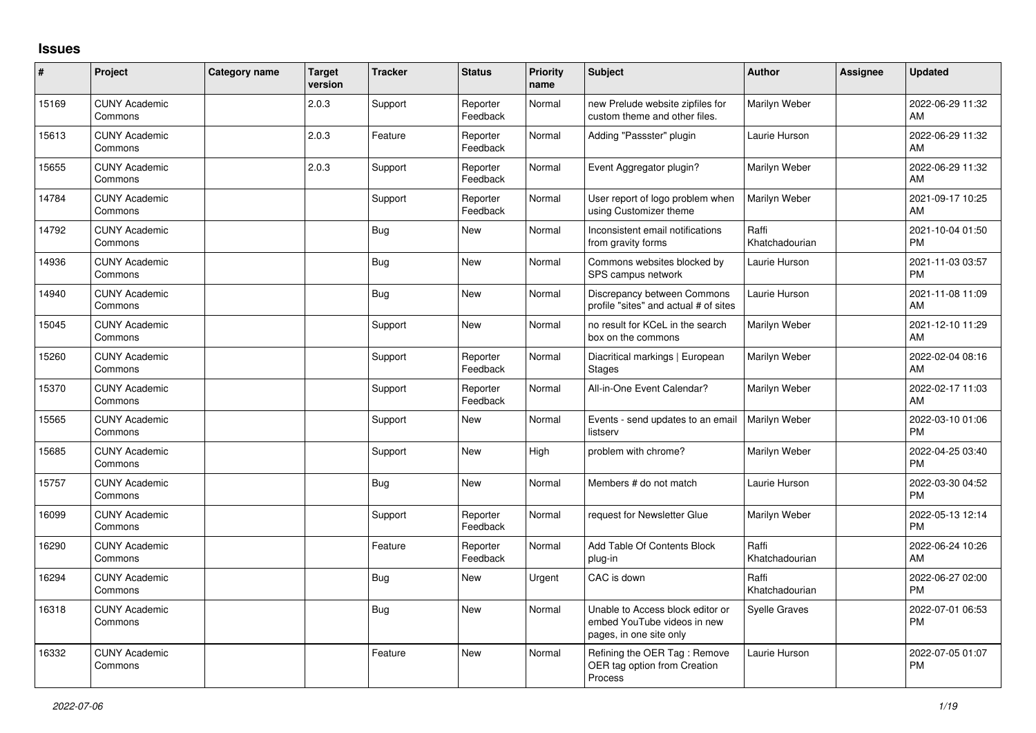## **Issues**

| #     | Project                         | Category name | <b>Target</b><br>version | <b>Tracker</b> | <b>Status</b>        | Priority<br>name | <b>Subject</b>                                                                             | <b>Author</b>           | <b>Assignee</b> | <b>Updated</b>                |
|-------|---------------------------------|---------------|--------------------------|----------------|----------------------|------------------|--------------------------------------------------------------------------------------------|-------------------------|-----------------|-------------------------------|
| 15169 | <b>CUNY Academic</b><br>Commons |               | 2.0.3                    | Support        | Reporter<br>Feedback | Normal           | new Prelude website zipfiles for<br>custom theme and other files.                          | Marilyn Weber           |                 | 2022-06-29 11:32<br>AM        |
| 15613 | <b>CUNY Academic</b><br>Commons |               | 2.0.3                    | Feature        | Reporter<br>Feedback | Normal           | Adding "Passster" plugin                                                                   | Laurie Hurson           |                 | 2022-06-29 11:32<br>AM        |
| 15655 | <b>CUNY Academic</b><br>Commons |               | 2.0.3                    | Support        | Reporter<br>Feedback | Normal           | Event Aggregator plugin?                                                                   | Marilyn Weber           |                 | 2022-06-29 11:32<br>AM        |
| 14784 | <b>CUNY Academic</b><br>Commons |               |                          | Support        | Reporter<br>Feedback | Normal           | User report of logo problem when<br>using Customizer theme                                 | <b>Marilyn Weber</b>    |                 | 2021-09-17 10:25<br>AM        |
| 14792 | <b>CUNY Academic</b><br>Commons |               |                          | Bug            | <b>New</b>           | Normal           | Inconsistent email notifications<br>from gravity forms                                     | Raffi<br>Khatchadourian |                 | 2021-10-04 01:50<br><b>PM</b> |
| 14936 | <b>CUNY Academic</b><br>Commons |               |                          | Bug            | <b>New</b>           | Normal           | Commons websites blocked by<br>SPS campus network                                          | Laurie Hurson           |                 | 2021-11-03 03:57<br><b>PM</b> |
| 14940 | <b>CUNY Academic</b><br>Commons |               |                          | Bug            | New                  | Normal           | Discrepancy between Commons<br>profile "sites" and actual # of sites                       | Laurie Hurson           |                 | 2021-11-08 11:09<br>AM        |
| 15045 | <b>CUNY Academic</b><br>Commons |               |                          | Support        | <b>New</b>           | Normal           | no result for KCeL in the search<br>box on the commons                                     | Marilyn Weber           |                 | 2021-12-10 11:29<br>AM        |
| 15260 | <b>CUNY Academic</b><br>Commons |               |                          | Support        | Reporter<br>Feedback | Normal           | Diacritical markings   European<br><b>Stages</b>                                           | Marilyn Weber           |                 | 2022-02-04 08:16<br>AM        |
| 15370 | <b>CUNY Academic</b><br>Commons |               |                          | Support        | Reporter<br>Feedback | Normal           | All-in-One Event Calendar?                                                                 | Marilyn Weber           |                 | 2022-02-17 11:03<br>AM        |
| 15565 | <b>CUNY Academic</b><br>Commons |               |                          | Support        | <b>New</b>           | Normal           | Events - send updates to an email<br>listserv                                              | Marilyn Weber           |                 | 2022-03-10 01:06<br><b>PM</b> |
| 15685 | <b>CUNY Academic</b><br>Commons |               |                          | Support        | <b>New</b>           | High             | problem with chrome?                                                                       | Marilyn Weber           |                 | 2022-04-25 03:40<br><b>PM</b> |
| 15757 | <b>CUNY Academic</b><br>Commons |               |                          | Bug            | <b>New</b>           | Normal           | Members # do not match                                                                     | Laurie Hurson           |                 | 2022-03-30 04:52<br><b>PM</b> |
| 16099 | <b>CUNY Academic</b><br>Commons |               |                          | Support        | Reporter<br>Feedback | Normal           | request for Newsletter Glue                                                                | Marilyn Weber           |                 | 2022-05-13 12:14<br><b>PM</b> |
| 16290 | <b>CUNY Academic</b><br>Commons |               |                          | Feature        | Reporter<br>Feedback | Normal           | Add Table Of Contents Block<br>plug-in                                                     | Raffi<br>Khatchadourian |                 | 2022-06-24 10:26<br>AM        |
| 16294 | <b>CUNY Academic</b><br>Commons |               |                          | Bug            | <b>New</b>           | Urgent           | CAC is down                                                                                | Raffi<br>Khatchadourian |                 | 2022-06-27 02:00<br><b>PM</b> |
| 16318 | <b>CUNY Academic</b><br>Commons |               |                          | <b>Bug</b>     | <b>New</b>           | Normal           | Unable to Access block editor or<br>embed YouTube videos in new<br>pages, in one site only | <b>Syelle Graves</b>    |                 | 2022-07-01 06:53<br><b>PM</b> |
| 16332 | <b>CUNY Academic</b><br>Commons |               |                          | Feature        | <b>New</b>           | Normal           | Refining the OER Tag: Remove<br>OER tag option from Creation<br>Process                    | Laurie Hurson           |                 | 2022-07-05 01:07<br><b>PM</b> |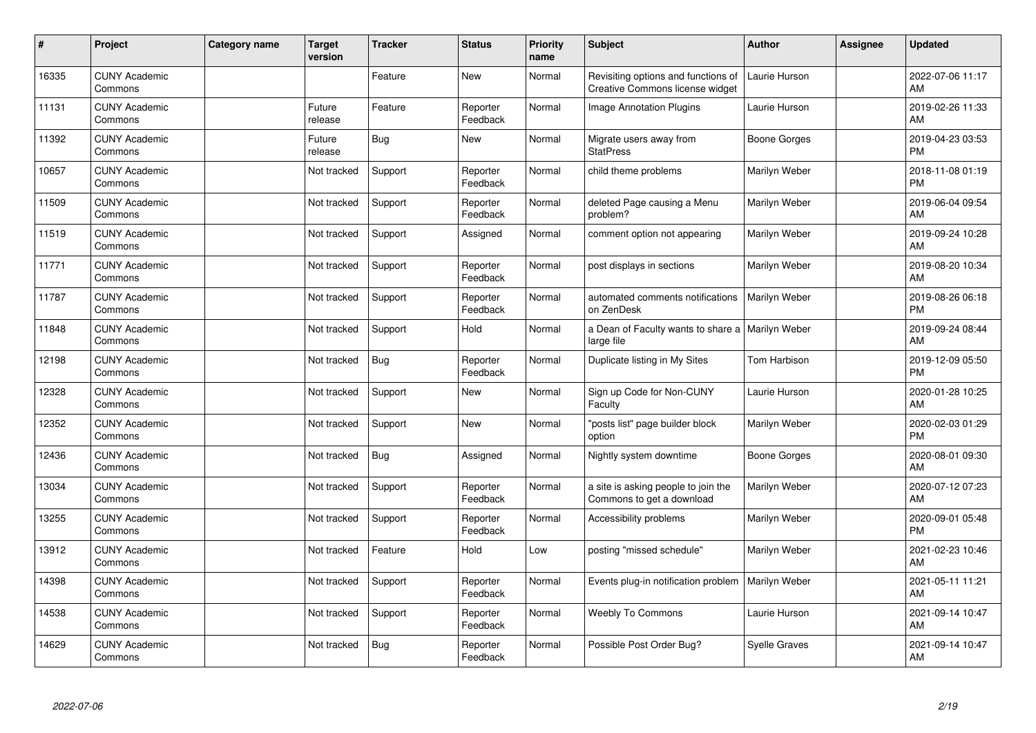| #     | Project                         | <b>Category name</b> | <b>Target</b><br>version | <b>Tracker</b> | <b>Status</b>        | <b>Priority</b><br>name | <b>Subject</b>                                                         | <b>Author</b>        | <b>Assignee</b> | <b>Updated</b>                |
|-------|---------------------------------|----------------------|--------------------------|----------------|----------------------|-------------------------|------------------------------------------------------------------------|----------------------|-----------------|-------------------------------|
| 16335 | <b>CUNY Academic</b><br>Commons |                      |                          | Feature        | <b>New</b>           | Normal                  | Revisiting options and functions of<br>Creative Commons license widget | Laurie Hurson        |                 | 2022-07-06 11:17<br>AM        |
| 11131 | <b>CUNY Academic</b><br>Commons |                      | Future<br>release        | Feature        | Reporter<br>Feedback | Normal                  | <b>Image Annotation Plugins</b>                                        | Laurie Hurson        |                 | 2019-02-26 11:33<br>AM        |
| 11392 | <b>CUNY Academic</b><br>Commons |                      | Future<br>release        | <b>Bug</b>     | <b>New</b>           | Normal                  | Migrate users away from<br><b>StatPress</b>                            | Boone Gorges         |                 | 2019-04-23 03:53<br><b>PM</b> |
| 10657 | <b>CUNY Academic</b><br>Commons |                      | Not tracked              | Support        | Reporter<br>Feedback | Normal                  | child theme problems                                                   | Marilyn Weber        |                 | 2018-11-08 01:19<br><b>PM</b> |
| 11509 | <b>CUNY Academic</b><br>Commons |                      | Not tracked              | Support        | Reporter<br>Feedback | Normal                  | deleted Page causing a Menu<br>problem?                                | Marilyn Weber        |                 | 2019-06-04 09:54<br>AM        |
| 11519 | <b>CUNY Academic</b><br>Commons |                      | Not tracked              | Support        | Assigned             | Normal                  | comment option not appearing                                           | Marilyn Weber        |                 | 2019-09-24 10:28<br>AM        |
| 11771 | <b>CUNY Academic</b><br>Commons |                      | Not tracked              | Support        | Reporter<br>Feedback | Normal                  | post displays in sections                                              | Marilyn Weber        |                 | 2019-08-20 10:34<br>AM        |
| 11787 | <b>CUNY Academic</b><br>Commons |                      | Not tracked              | Support        | Reporter<br>Feedback | Normal                  | automated comments notifications<br>on ZenDesk                         | Marilyn Weber        |                 | 2019-08-26 06:18<br><b>PM</b> |
| 11848 | <b>CUNY Academic</b><br>Commons |                      | Not tracked              | Support        | Hold                 | Normal                  | a Dean of Faculty wants to share a   Marilyn Weber<br>large file       |                      |                 | 2019-09-24 08:44<br>AM        |
| 12198 | <b>CUNY Academic</b><br>Commons |                      | Not tracked              | Bug            | Reporter<br>Feedback | Normal                  | Duplicate listing in My Sites                                          | Tom Harbison         |                 | 2019-12-09 05:50<br>PM        |
| 12328 | <b>CUNY Academic</b><br>Commons |                      | Not tracked              | Support        | New                  | Normal                  | Sign up Code for Non-CUNY<br>Faculty                                   | Laurie Hurson        |                 | 2020-01-28 10:25<br>AM        |
| 12352 | <b>CUNY Academic</b><br>Commons |                      | Not tracked              | Support        | New                  | Normal                  | "posts list" page builder block<br>option                              | Marilyn Weber        |                 | 2020-02-03 01:29<br><b>PM</b> |
| 12436 | <b>CUNY Academic</b><br>Commons |                      | Not tracked              | <b>Bug</b>     | Assigned             | Normal                  | Nightly system downtime                                                | Boone Gorges         |                 | 2020-08-01 09:30<br>AM        |
| 13034 | <b>CUNY Academic</b><br>Commons |                      | Not tracked              | Support        | Reporter<br>Feedback | Normal                  | a site is asking people to join the<br>Commons to get a download       | Marilyn Weber        |                 | 2020-07-12 07:23<br>AM        |
| 13255 | <b>CUNY Academic</b><br>Commons |                      | Not tracked              | Support        | Reporter<br>Feedback | Normal                  | Accessibility problems                                                 | Marilyn Weber        |                 | 2020-09-01 05:48<br><b>PM</b> |
| 13912 | <b>CUNY Academic</b><br>Commons |                      | Not tracked              | Feature        | Hold                 | Low                     | posting "missed schedule"                                              | Marilyn Weber        |                 | 2021-02-23 10:46<br>AM        |
| 14398 | <b>CUNY Academic</b><br>Commons |                      | Not tracked              | Support        | Reporter<br>Feedback | Normal                  | Events plug-in notification problem                                    | Marilyn Weber        |                 | 2021-05-11 11:21<br>AM        |
| 14538 | <b>CUNY Academic</b><br>Commons |                      | Not tracked              | Support        | Reporter<br>Feedback | Normal                  | <b>Weebly To Commons</b>                                               | Laurie Hurson        |                 | 2021-09-14 10:47<br>AM        |
| 14629 | <b>CUNY Academic</b><br>Commons |                      | Not tracked              | Bug            | Reporter<br>Feedback | Normal                  | Possible Post Order Bug?                                               | <b>Syelle Graves</b> |                 | 2021-09-14 10:47<br>AM        |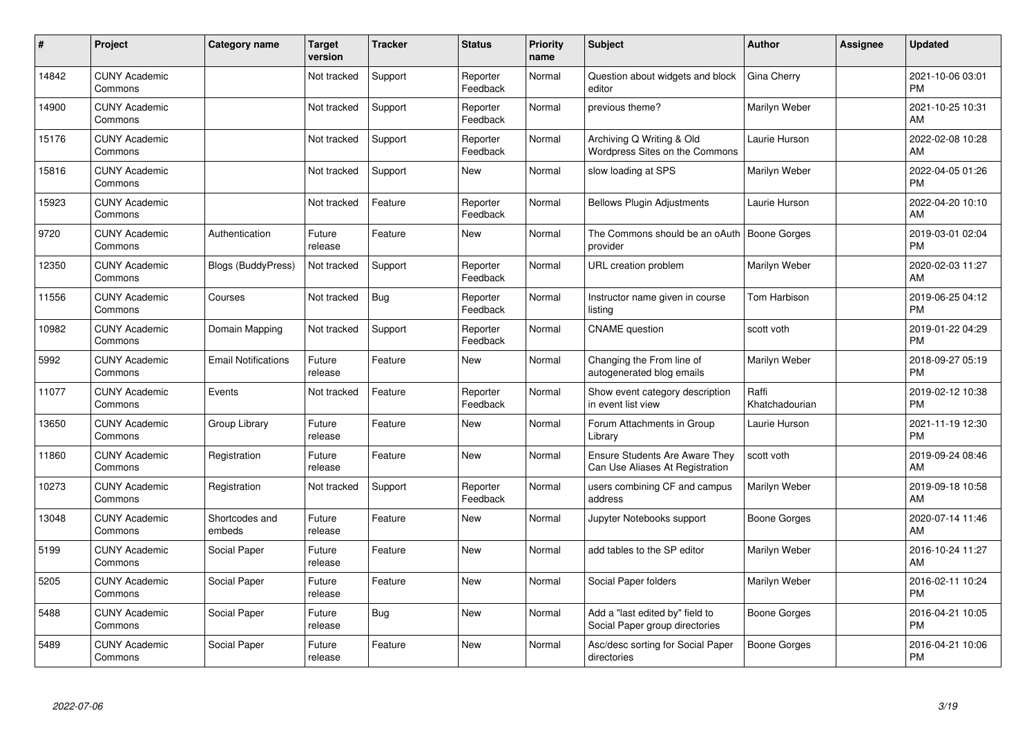| #     | Project                         | Category name              | Target<br>version | <b>Tracker</b> | <b>Status</b>        | <b>Priority</b><br>name | <b>Subject</b>                                                           | <b>Author</b>           | <b>Assignee</b> | <b>Updated</b>                |
|-------|---------------------------------|----------------------------|-------------------|----------------|----------------------|-------------------------|--------------------------------------------------------------------------|-------------------------|-----------------|-------------------------------|
| 14842 | <b>CUNY Academic</b><br>Commons |                            | Not tracked       | Support        | Reporter<br>Feedback | Normal                  | Question about widgets and block<br>editor                               | Gina Cherry             |                 | 2021-10-06 03:01<br><b>PM</b> |
| 14900 | <b>CUNY Academic</b><br>Commons |                            | Not tracked       | Support        | Reporter<br>Feedback | Normal                  | previous theme?                                                          | Marilyn Weber           |                 | 2021-10-25 10:31<br>AM        |
| 15176 | <b>CUNY Academic</b><br>Commons |                            | Not tracked       | Support        | Reporter<br>Feedback | Normal                  | Archiving Q Writing & Old<br>Wordpress Sites on the Commons              | Laurie Hurson           |                 | 2022-02-08 10:28<br>AM        |
| 15816 | <b>CUNY Academic</b><br>Commons |                            | Not tracked       | Support        | <b>New</b>           | Normal                  | slow loading at SPS                                                      | Marilyn Weber           |                 | 2022-04-05 01:26<br><b>PM</b> |
| 15923 | <b>CUNY Academic</b><br>Commons |                            | Not tracked       | Feature        | Reporter<br>Feedback | Normal                  | <b>Bellows Plugin Adjustments</b>                                        | Laurie Hurson           |                 | 2022-04-20 10:10<br>AM        |
| 9720  | <b>CUNY Academic</b><br>Commons | Authentication             | Future<br>release | Feature        | New                  | Normal                  | The Commons should be an oAuth   Boone Gorges<br>provider                |                         |                 | 2019-03-01 02:04<br><b>PM</b> |
| 12350 | <b>CUNY Academic</b><br>Commons | <b>Blogs (BuddyPress)</b>  | Not tracked       | Support        | Reporter<br>Feedback | Normal                  | <b>URL</b> creation problem                                              | Marilyn Weber           |                 | 2020-02-03 11:27<br>AM        |
| 11556 | <b>CUNY Academic</b><br>Commons | Courses                    | Not tracked       | Bug            | Reporter<br>Feedback | Normal                  | Instructor name given in course<br>listing                               | <b>Tom Harbison</b>     |                 | 2019-06-25 04:12<br><b>PM</b> |
| 10982 | <b>CUNY Academic</b><br>Commons | Domain Mapping             | Not tracked       | Support        | Reporter<br>Feedback | Normal                  | <b>CNAME</b> question                                                    | scott voth              |                 | 2019-01-22 04:29<br><b>PM</b> |
| 5992  | <b>CUNY Academic</b><br>Commons | <b>Email Notifications</b> | Future<br>release | Feature        | <b>New</b>           | Normal                  | Changing the From line of<br>autogenerated blog emails                   | Marilyn Weber           |                 | 2018-09-27 05:19<br><b>PM</b> |
| 11077 | <b>CUNY Academic</b><br>Commons | Events                     | Not tracked       | Feature        | Reporter<br>Feedback | Normal                  | Show event category description<br>in event list view                    | Raffi<br>Khatchadourian |                 | 2019-02-12 10:38<br><b>PM</b> |
| 13650 | <b>CUNY Academic</b><br>Commons | Group Library              | Future<br>release | Feature        | New                  | Normal                  | Forum Attachments in Group<br>Library                                    | Laurie Hurson           |                 | 2021-11-19 12:30<br><b>PM</b> |
| 11860 | <b>CUNY Academic</b><br>Commons | Registration               | Future<br>release | Feature        | <b>New</b>           | Normal                  | <b>Ensure Students Are Aware They</b><br>Can Use Aliases At Registration | scott voth              |                 | 2019-09-24 08:46<br>AM        |
| 10273 | <b>CUNY Academic</b><br>Commons | Registration               | Not tracked       | Support        | Reporter<br>Feedback | Normal                  | users combining CF and campus<br>address                                 | Marilyn Weber           |                 | 2019-09-18 10:58<br>AM        |
| 13048 | <b>CUNY Academic</b><br>Commons | Shortcodes and<br>embeds   | Future<br>release | Feature        | New                  | Normal                  | Jupyter Notebooks support                                                | Boone Gorges            |                 | 2020-07-14 11:46<br>AM        |
| 5199  | <b>CUNY Academic</b><br>Commons | Social Paper               | Future<br>release | Feature        | <b>New</b>           | Normal                  | add tables to the SP editor                                              | Marilyn Weber           |                 | 2016-10-24 11:27<br>AM        |
| 5205  | <b>CUNY Academic</b><br>Commons | Social Paper               | Future<br>release | Feature        | New                  | Normal                  | Social Paper folders                                                     | Marilyn Weber           |                 | 2016-02-11 10:24<br><b>PM</b> |
| 5488  | <b>CUNY Academic</b><br>Commons | Social Paper               | Future<br>release | Bug            | New                  | Normal                  | Add a "last edited by" field to<br>Social Paper group directories        | Boone Gorges            |                 | 2016-04-21 10:05<br><b>PM</b> |
| 5489  | <b>CUNY Academic</b><br>Commons | Social Paper               | Future<br>release | Feature        | <b>New</b>           | Normal                  | Asc/desc sorting for Social Paper<br>directories                         | <b>Boone Gorges</b>     |                 | 2016-04-21 10:06<br><b>PM</b> |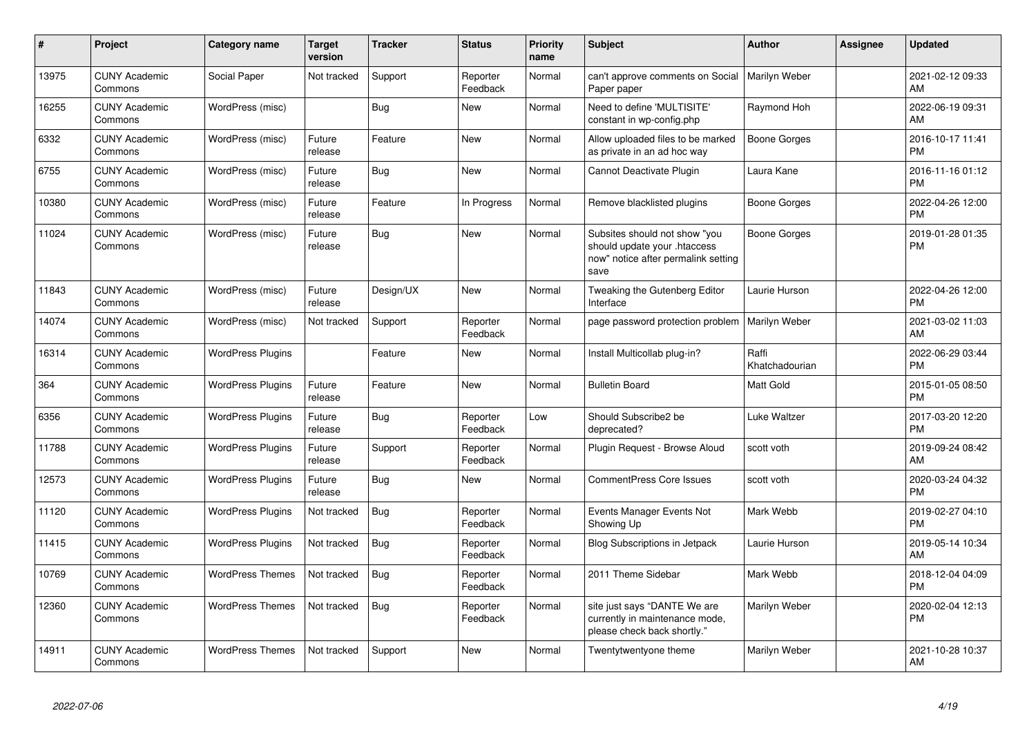| #     | Project                         | <b>Category name</b>     | <b>Target</b><br>version | <b>Tracker</b> | <b>Status</b>        | <b>Priority</b><br>name | <b>Subject</b>                                                                                               | <b>Author</b>           | Assignee | <b>Updated</b>                |
|-------|---------------------------------|--------------------------|--------------------------|----------------|----------------------|-------------------------|--------------------------------------------------------------------------------------------------------------|-------------------------|----------|-------------------------------|
| 13975 | <b>CUNY Academic</b><br>Commons | Social Paper             | Not tracked              | Support        | Reporter<br>Feedback | Normal                  | can't approve comments on Social<br>Paper paper                                                              | Marilyn Weber           |          | 2021-02-12 09:33<br>AM        |
| 16255 | <b>CUNY Academic</b><br>Commons | WordPress (misc)         |                          | Bug            | <b>New</b>           | Normal                  | Need to define 'MULTISITE'<br>constant in wp-config.php                                                      | Raymond Hoh             |          | 2022-06-19 09:31<br>AM        |
| 6332  | <b>CUNY Academic</b><br>Commons | WordPress (misc)         | Future<br>release        | Feature        | New                  | Normal                  | Allow uploaded files to be marked<br>as private in an ad hoc way                                             | Boone Gorges            |          | 2016-10-17 11:41<br><b>PM</b> |
| 6755  | <b>CUNY Academic</b><br>Commons | WordPress (misc)         | Future<br>release        | <b>Bug</b>     | New                  | Normal                  | Cannot Deactivate Plugin                                                                                     | Laura Kane              |          | 2016-11-16 01:12<br><b>PM</b> |
| 10380 | <b>CUNY Academic</b><br>Commons | WordPress (misc)         | Future<br>release        | Feature        | In Progress          | Normal                  | Remove blacklisted plugins                                                                                   | Boone Gorges            |          | 2022-04-26 12:00<br><b>PM</b> |
| 11024 | <b>CUNY Academic</b><br>Commons | WordPress (misc)         | Future<br>release        | <b>Bug</b>     | <b>New</b>           | Normal                  | Subsites should not show "you<br>should update your .htaccess<br>now" notice after permalink setting<br>save | Boone Gorges            |          | 2019-01-28 01:35<br><b>PM</b> |
| 11843 | <b>CUNY Academic</b><br>Commons | WordPress (misc)         | Future<br>release        | Design/UX      | <b>New</b>           | Normal                  | Tweaking the Gutenberg Editor<br>Interface                                                                   | Laurie Hurson           |          | 2022-04-26 12:00<br><b>PM</b> |
| 14074 | <b>CUNY Academic</b><br>Commons | WordPress (misc)         | Not tracked              | Support        | Reporter<br>Feedback | Normal                  | page password protection problem                                                                             | Marilyn Weber           |          | 2021-03-02 11:03<br>AM        |
| 16314 | <b>CUNY Academic</b><br>Commons | <b>WordPress Plugins</b> |                          | Feature        | <b>New</b>           | Normal                  | Install Multicollab plug-in?                                                                                 | Raffi<br>Khatchadourian |          | 2022-06-29 03:44<br><b>PM</b> |
| 364   | <b>CUNY Academic</b><br>Commons | <b>WordPress Plugins</b> | Future<br>release        | Feature        | <b>New</b>           | Normal                  | <b>Bulletin Board</b>                                                                                        | Matt Gold               |          | 2015-01-05 08:50<br><b>PM</b> |
| 6356  | <b>CUNY Academic</b><br>Commons | <b>WordPress Plugins</b> | Future<br>release        | <b>Bug</b>     | Reporter<br>Feedback | Low                     | Should Subscribe2 be<br>deprecated?                                                                          | Luke Waltzer            |          | 2017-03-20 12:20<br><b>PM</b> |
| 11788 | <b>CUNY Academic</b><br>Commons | <b>WordPress Plugins</b> | Future<br>release        | Support        | Reporter<br>Feedback | Normal                  | Plugin Request - Browse Aloud                                                                                | scott voth              |          | 2019-09-24 08:42<br>AM        |
| 12573 | <b>CUNY Academic</b><br>Commons | <b>WordPress Plugins</b> | Future<br>release        | <b>Bug</b>     | New                  | Normal                  | <b>CommentPress Core Issues</b>                                                                              | scott voth              |          | 2020-03-24 04:32<br><b>PM</b> |
| 11120 | <b>CUNY Academic</b><br>Commons | <b>WordPress Plugins</b> | Not tracked              | Bug            | Reporter<br>Feedback | Normal                  | Events Manager Events Not<br>Showing Up                                                                      | Mark Webb               |          | 2019-02-27 04:10<br><b>PM</b> |
| 11415 | <b>CUNY Academic</b><br>Commons | <b>WordPress Plugins</b> | Not tracked              | Bug            | Reporter<br>Feedback | Normal                  | <b>Blog Subscriptions in Jetpack</b>                                                                         | Laurie Hurson           |          | 2019-05-14 10:34<br>AM        |
| 10769 | <b>CUNY Academic</b><br>Commons | <b>WordPress Themes</b>  | Not tracked              | <b>Bug</b>     | Reporter<br>Feedback | Normal                  | 2011 Theme Sidebar                                                                                           | Mark Webb               |          | 2018-12-04 04:09<br><b>PM</b> |
| 12360 | <b>CUNY Academic</b><br>Commons | <b>WordPress Themes</b>  | Not tracked              | <b>Bug</b>     | Reporter<br>Feedback | Normal                  | site just says "DANTE We are<br>currently in maintenance mode,<br>please check back shortly."                | Marilyn Weber           |          | 2020-02-04 12:13<br><b>PM</b> |
| 14911 | <b>CUNY Academic</b><br>Commons | <b>WordPress Themes</b>  | Not tracked              | Support        | <b>New</b>           | Normal                  | Twentytwentyone theme                                                                                        | Marilyn Weber           |          | 2021-10-28 10:37<br>AM        |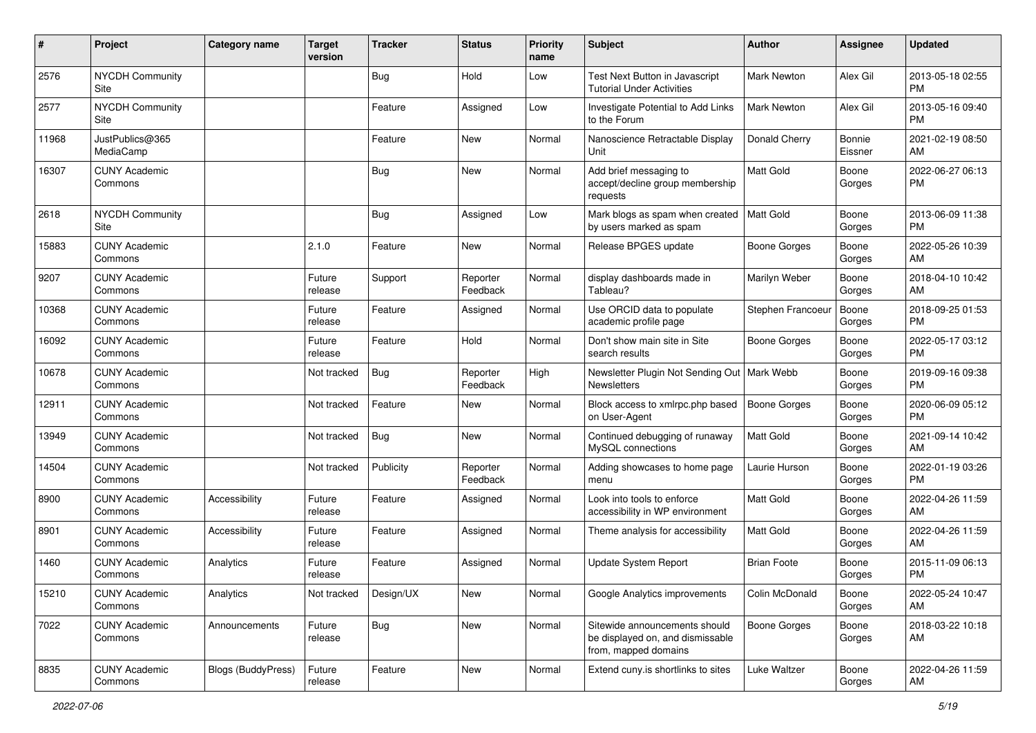| $\pmb{\#}$ | Project                         | <b>Category name</b> | <b>Target</b><br>version | <b>Tracker</b> | <b>Status</b>        | <b>Priority</b><br>name | <b>Subject</b>                                                                            | <b>Author</b>       | <b>Assignee</b>   | <b>Updated</b>                |
|------------|---------------------------------|----------------------|--------------------------|----------------|----------------------|-------------------------|-------------------------------------------------------------------------------------------|---------------------|-------------------|-------------------------------|
| 2576       | NYCDH Community<br>Site         |                      |                          | <b>Bug</b>     | Hold                 | Low                     | Test Next Button in Javascript<br><b>Tutorial Under Activities</b>                        | Mark Newton         | Alex Gil          | 2013-05-18 02:55<br>PM        |
| 2577       | <b>NYCDH Community</b><br>Site  |                      |                          | Feature        | Assigned             | Low                     | Investigate Potential to Add Links<br>to the Forum                                        | Mark Newton         | Alex Gil          | 2013-05-16 09:40<br><b>PM</b> |
| 11968      | JustPublics@365<br>MediaCamp    |                      |                          | Feature        | New                  | Normal                  | Nanoscience Retractable Display<br>Unit                                                   | Donald Cherry       | Bonnie<br>Eissner | 2021-02-19 08:50<br>AM        |
| 16307      | <b>CUNY Academic</b><br>Commons |                      |                          | Bug            | New                  | Normal                  | Add brief messaging to<br>accept/decline group membership<br>requests                     | <b>Matt Gold</b>    | Boone<br>Gorges   | 2022-06-27 06:13<br>PM        |
| 2618       | <b>NYCDH Community</b><br>Site  |                      |                          | Bug            | Assigned             | Low                     | Mark blogs as spam when created<br>by users marked as spam                                | <b>Matt Gold</b>    | Boone<br>Gorges   | 2013-06-09 11:38<br>PM        |
| 15883      | <b>CUNY Academic</b><br>Commons |                      | 2.1.0                    | Feature        | New                  | Normal                  | Release BPGES update                                                                      | Boone Gorges        | Boone<br>Gorges   | 2022-05-26 10:39<br>AM        |
| 9207       | <b>CUNY Academic</b><br>Commons |                      | Future<br>release        | Support        | Reporter<br>Feedback | Normal                  | display dashboards made in<br>Tableau?                                                    | Marilyn Weber       | Boone<br>Gorges   | 2018-04-10 10:42<br>AM        |
| 10368      | <b>CUNY Academic</b><br>Commons |                      | Future<br>release        | Feature        | Assigned             | Normal                  | Use ORCID data to populate<br>academic profile page                                       | Stephen Francoeu    | Boone<br>Gorges   | 2018-09-25 01:53<br>PM        |
| 16092      | <b>CUNY Academic</b><br>Commons |                      | Future<br>release        | Feature        | Hold                 | Normal                  | Don't show main site in Site<br>search results                                            | <b>Boone Gorges</b> | Boone<br>Gorges   | 2022-05-17 03:12<br>PM        |
| 10678      | <b>CUNY Academic</b><br>Commons |                      | Not tracked              | Bug            | Reporter<br>Feedback | High                    | Newsletter Plugin Not Sending Out   Mark Webb<br>Newsletters                              |                     | Boone<br>Gorges   | 2019-09-16 09:38<br>PM        |
| 12911      | <b>CUNY Academic</b><br>Commons |                      | Not tracked              | Feature        | New                  | Normal                  | Block access to xmlrpc.php based<br>on User-Agent                                         | <b>Boone Gorges</b> | Boone<br>Gorges   | 2020-06-09 05:12<br>PM        |
| 13949      | <b>CUNY Academic</b><br>Commons |                      | Not tracked              | Bug            | <b>New</b>           | Normal                  | Continued debugging of runaway<br>MySQL connections                                       | Matt Gold           | Boone<br>Gorges   | 2021-09-14 10:42<br>AM        |
| 14504      | <b>CUNY Academic</b><br>Commons |                      | Not tracked              | Publicity      | Reporter<br>Feedback | Normal                  | Adding showcases to home page<br>menu                                                     | Laurie Hurson       | Boone<br>Gorges   | 2022-01-19 03:26<br>PM        |
| 8900       | <b>CUNY Academic</b><br>Commons | Accessibility        | Future<br>release        | Feature        | Assigned             | Normal                  | Look into tools to enforce<br>accessibility in WP environment                             | Matt Gold           | Boone<br>Gorges   | 2022-04-26 11:59<br>AM        |
| 8901       | <b>CUNY Academic</b><br>Commons | Accessibility        | Future<br>release        | Feature        | Assigned             | Normal                  | Theme analysis for accessibility                                                          | <b>Matt Gold</b>    | Boone<br>Gorges   | 2022-04-26 11:59<br>AM        |
| 1460       | <b>CUNY Academic</b><br>Commons | Analytics            | Future<br>release        | Feature        | Assigned             | Normal                  | <b>Update System Report</b>                                                               | <b>Brian Foote</b>  | Boone<br>Gorges   | 2015-11-09 06:13<br><b>PM</b> |
| 15210      | <b>CUNY Academic</b><br>Commons | Analytics            | Not tracked              | Design/UX      | New                  | Normal                  | Google Analytics improvements                                                             | Colin McDonald      | Boone<br>Gorges   | 2022-05-24 10:47<br>AM        |
| 7022       | <b>CUNY Academic</b><br>Commons | Announcements        | Future<br>release        | Bug            | New                  | Normal                  | Sitewide announcements should<br>be displayed on, and dismissable<br>from, mapped domains | Boone Gorges        | Boone<br>Gorges   | 2018-03-22 10:18<br>AM        |
| 8835       | <b>CUNY Academic</b><br>Commons | Blogs (BuddyPress)   | Future<br>release        | Feature        | New                  | Normal                  | Extend cuny.is shortlinks to sites                                                        | Luke Waltzer        | Boone<br>Gorges   | 2022-04-26 11:59<br>AM        |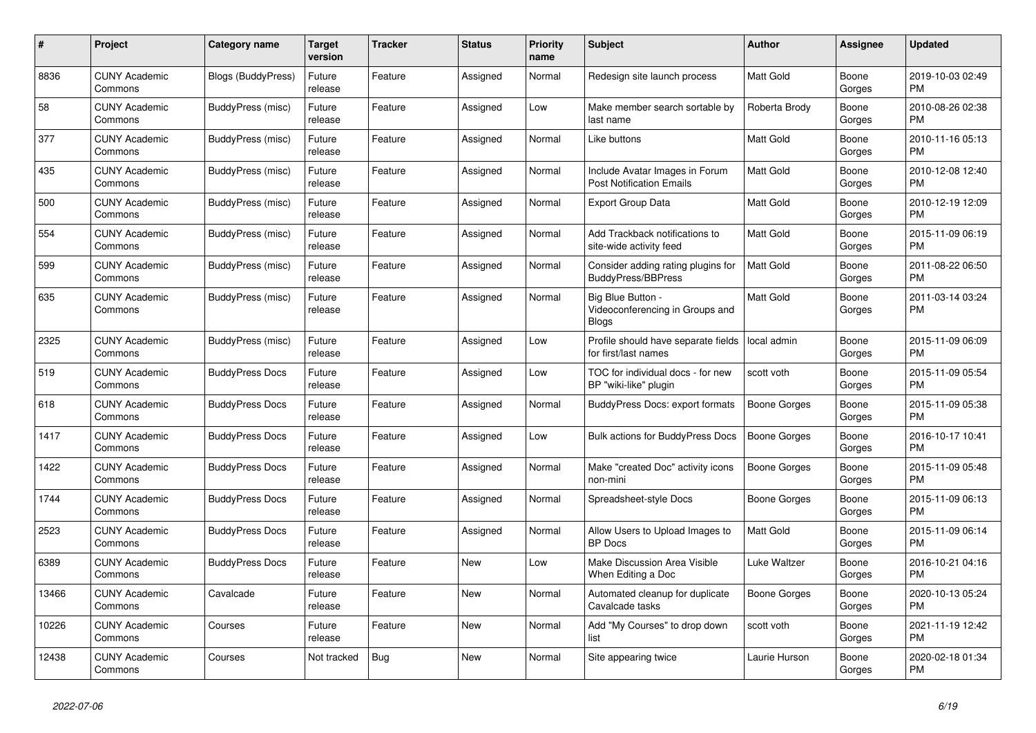| #     | Project                         | Category name             | <b>Target</b><br>version | Tracker | <b>Status</b> | <b>Priority</b><br>name | <b>Subject</b>                                                       | <b>Author</b>    | Assignee        | <b>Updated</b>                |
|-------|---------------------------------|---------------------------|--------------------------|---------|---------------|-------------------------|----------------------------------------------------------------------|------------------|-----------------|-------------------------------|
| 8836  | <b>CUNY Academic</b><br>Commons | <b>Blogs (BuddyPress)</b> | Future<br>release        | Feature | Assigned      | Normal                  | Redesign site launch process                                         | <b>Matt Gold</b> | Boone<br>Gorges | 2019-10-03 02:49<br>PM        |
| 58    | <b>CUNY Academic</b><br>Commons | BuddyPress (misc)         | Future<br>release        | Feature | Assigned      | Low                     | Make member search sortable by<br>last name                          | Roberta Brody    | Boone<br>Gorges | 2010-08-26 02:38<br><b>PM</b> |
| 377   | <b>CUNY Academic</b><br>Commons | BuddyPress (misc)         | Future<br>release        | Feature | Assigned      | Normal                  | Like buttons                                                         | Matt Gold        | Boone<br>Gorges | 2010-11-16 05:13<br><b>PM</b> |
| 435   | <b>CUNY Academic</b><br>Commons | BuddyPress (misc)         | Future<br>release        | Feature | Assigned      | Normal                  | Include Avatar Images in Forum<br><b>Post Notification Emails</b>    | <b>Matt Gold</b> | Boone<br>Gorges | 2010-12-08 12:40<br>PM        |
| 500   | <b>CUNY Academic</b><br>Commons | <b>BuddyPress</b> (misc)  | Future<br>release        | Feature | Assigned      | Normal                  | Export Group Data                                                    | <b>Matt Gold</b> | Boone<br>Gorges | 2010-12-19 12:09<br>PM        |
| 554   | <b>CUNY Academic</b><br>Commons | BuddyPress (misc)         | Future<br>release        | Feature | Assigned      | Normal                  | Add Trackback notifications to<br>site-wide activity feed            | <b>Matt Gold</b> | Boone<br>Gorges | 2015-11-09 06:19<br><b>PM</b> |
| 599   | <b>CUNY Academic</b><br>Commons | BuddyPress (misc)         | Future<br>release        | Feature | Assigned      | Normal                  | Consider adding rating plugins for<br>BuddyPress/BBPress             | <b>Matt Gold</b> | Boone<br>Gorges | 2011-08-22 06:50<br><b>PM</b> |
| 635   | <b>CUNY Academic</b><br>Commons | BuddyPress (misc)         | Future<br>release        | Feature | Assigned      | Normal                  | Big Blue Button -<br>Videoconferencing in Groups and<br><b>Blogs</b> | Matt Gold        | Boone<br>Gorges | 2011-03-14 03:24<br>PM        |
| 2325  | <b>CUNY Academic</b><br>Commons | BuddyPress (misc)         | Future<br>release        | Feature | Assigned      | Low                     | Profile should have separate fields<br>for first/last names          | local admin      | Boone<br>Gorges | 2015-11-09 06:09<br><b>PM</b> |
| 519   | <b>CUNY Academic</b><br>Commons | <b>BuddyPress Docs</b>    | Future<br>release        | Feature | Assigned      | Low                     | TOC for individual docs - for new<br>BP "wiki-like" plugin           | scott voth       | Boone<br>Gorges | 2015-11-09 05:54<br><b>PM</b> |
| 618   | <b>CUNY Academic</b><br>Commons | <b>BuddyPress Docs</b>    | Future<br>release        | Feature | Assigned      | Normal                  | <b>BuddyPress Docs: export formats</b>                               | Boone Gorges     | Boone<br>Gorges | 2015-11-09 05:38<br><b>PM</b> |
| 1417  | <b>CUNY Academic</b><br>Commons | <b>BuddyPress Docs</b>    | Future<br>release        | Feature | Assigned      | Low                     | <b>Bulk actions for BuddyPress Docs</b>                              | Boone Gorges     | Boone<br>Gorges | 2016-10-17 10:41<br><b>PM</b> |
| 1422  | <b>CUNY Academic</b><br>Commons | <b>BuddyPress Docs</b>    | Future<br>release        | Feature | Assigned      | Normal                  | Make "created Doc" activity icons<br>non-mini                        | Boone Gorges     | Boone<br>Gorges | 2015-11-09 05:48<br><b>PM</b> |
| 1744  | <b>CUNY Academic</b><br>Commons | <b>BuddyPress Docs</b>    | Future<br>release        | Feature | Assigned      | Normal                  | Spreadsheet-style Docs                                               | Boone Gorges     | Boone<br>Gorges | 2015-11-09 06:13<br><b>PM</b> |
| 2523  | <b>CUNY Academic</b><br>Commons | <b>BuddyPress Docs</b>    | Future<br>release        | Feature | Assigned      | Normal                  | Allow Users to Upload Images to<br><b>BP</b> Docs                    | <b>Matt Gold</b> | Boone<br>Gorges | 2015-11-09 06:14<br>PM        |
| 6389  | <b>CUNY Academic</b><br>Commons | <b>BuddyPress Docs</b>    | Future<br>release        | Feature | <b>New</b>    | Low                     | Make Discussion Area Visible<br>When Editing a Doc                   | Luke Waltzer     | Boone<br>Gorges | 2016-10-21 04:16<br><b>PM</b> |
| 13466 | <b>CUNY Academic</b><br>Commons | Cavalcade                 | Future<br>release        | Feature | New           | Normal                  | Automated cleanup for duplicate<br>Cavalcade tasks                   | Boone Gorges     | Boone<br>Gorges | 2020-10-13 05:24<br><b>PM</b> |
| 10226 | <b>CUNY Academic</b><br>Commons | Courses                   | Future<br>release        | Feature | <b>New</b>    | Normal                  | Add "My Courses" to drop down<br>list                                | scott voth       | Boone<br>Gorges | 2021-11-19 12:42<br>PM        |
| 12438 | <b>CUNY Academic</b><br>Commons | Courses                   | Not tracked              | Bug     | <b>New</b>    | Normal                  | Site appearing twice                                                 | Laurie Hurson    | Boone<br>Gorges | 2020-02-18 01:34<br>PM        |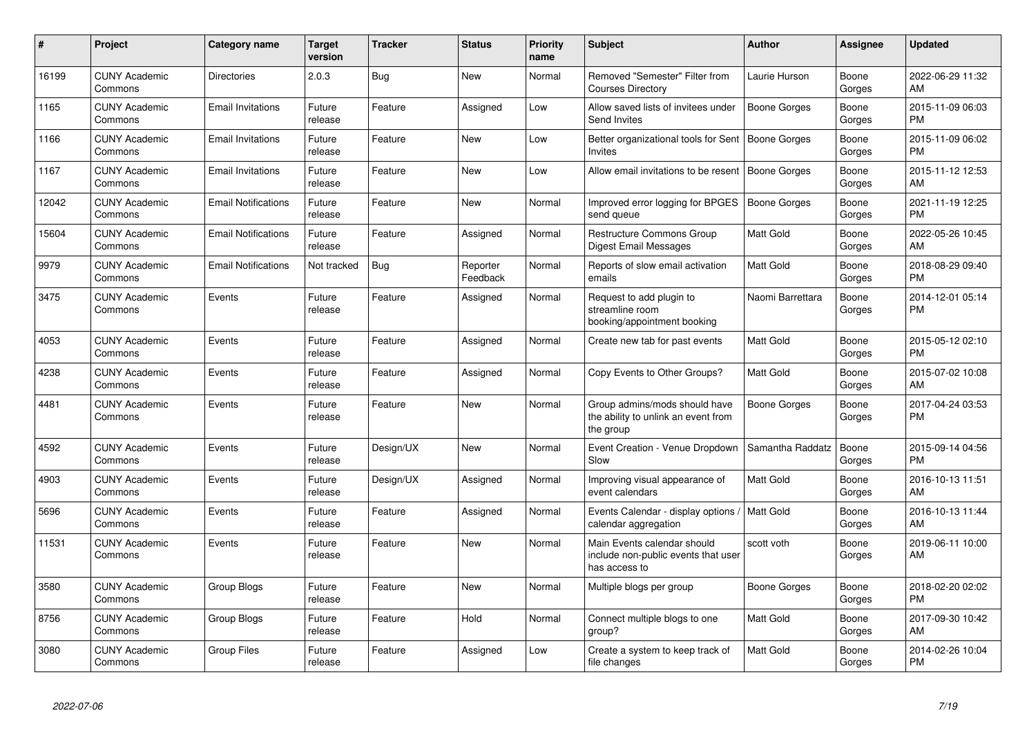| #     | Project                         | <b>Category name</b>       | <b>Target</b><br>version | <b>Tracker</b> | <b>Status</b>        | <b>Priority</b><br>name | <b>Subject</b>                                                                      | <b>Author</b>       | Assignee        | <b>Updated</b>                |
|-------|---------------------------------|----------------------------|--------------------------|----------------|----------------------|-------------------------|-------------------------------------------------------------------------------------|---------------------|-----------------|-------------------------------|
| 16199 | <b>CUNY Academic</b><br>Commons | <b>Directories</b>         | 2.0.3                    | <b>Bug</b>     | New                  | Normal                  | Removed "Semester" Filter from<br><b>Courses Directory</b>                          | Laurie Hurson       | Boone<br>Gorges | 2022-06-29 11:32<br>AM        |
| 1165  | <b>CUNY Academic</b><br>Commons | <b>Email Invitations</b>   | Future<br>release        | Feature        | Assigned             | Low                     | Allow saved lists of invitees under<br>Send Invites                                 | <b>Boone Gorges</b> | Boone<br>Gorges | 2015-11-09 06:03<br><b>PM</b> |
| 1166  | <b>CUNY Academic</b><br>Commons | <b>Email Invitations</b>   | Future<br>release        | Feature        | New                  | Low                     | Better organizational tools for Sent<br>Invites                                     | Boone Gorges        | Boone<br>Gorges | 2015-11-09 06:02<br><b>PM</b> |
| 1167  | <b>CUNY Academic</b><br>Commons | <b>Email Invitations</b>   | Future<br>release        | Feature        | <b>New</b>           | Low                     | Allow email invitations to be resent   Boone Gorges                                 |                     | Boone<br>Gorges | 2015-11-12 12:53<br>AM        |
| 12042 | <b>CUNY Academic</b><br>Commons | <b>Email Notifications</b> | Future<br>release        | Feature        | New                  | Normal                  | Improved error logging for BPGES<br>send queue                                      | Boone Gorges        | Boone<br>Gorges | 2021-11-19 12:25<br><b>PM</b> |
| 15604 | <b>CUNY Academic</b><br>Commons | <b>Email Notifications</b> | Future<br>release        | Feature        | Assigned             | Normal                  | Restructure Commons Group<br><b>Digest Email Messages</b>                           | Matt Gold           | Boone<br>Gorges | 2022-05-26 10:45<br>AM        |
| 9979  | <b>CUNY Academic</b><br>Commons | <b>Email Notifications</b> | Not tracked              | Bug            | Reporter<br>Feedback | Normal                  | Reports of slow email activation<br>emails                                          | Matt Gold           | Boone<br>Gorges | 2018-08-29 09:40<br><b>PM</b> |
| 3475  | <b>CUNY Academic</b><br>Commons | Events                     | Future<br>release        | Feature        | Assigned             | Normal                  | Request to add plugin to<br>streamline room<br>booking/appointment booking          | Naomi Barrettara    | Boone<br>Gorges | 2014-12-01 05:14<br><b>PM</b> |
| 4053  | <b>CUNY Academic</b><br>Commons | Events                     | Future<br>release        | Feature        | Assigned             | Normal                  | Create new tab for past events                                                      | Matt Gold           | Boone<br>Gorges | 2015-05-12 02:10<br><b>PM</b> |
| 4238  | <b>CUNY Academic</b><br>Commons | Events                     | Future<br>release        | Feature        | Assigned             | Normal                  | Copy Events to Other Groups?                                                        | Matt Gold           | Boone<br>Gorges | 2015-07-02 10:08<br>AM        |
| 4481  | <b>CUNY Academic</b><br>Commons | Events                     | Future<br>release        | Feature        | New                  | Normal                  | Group admins/mods should have<br>the ability to unlink an event from<br>the group   | Boone Gorges        | Boone<br>Gorges | 2017-04-24 03:53<br><b>PM</b> |
| 4592  | <b>CUNY Academic</b><br>Commons | Events                     | Future<br>release        | Design/UX      | New                  | Normal                  | Event Creation - Venue Dropdown<br>Slow                                             | Samantha Raddatz    | Boone<br>Gorges | 2015-09-14 04:56<br><b>PM</b> |
| 4903  | <b>CUNY Academic</b><br>Commons | Events                     | Future<br>release        | Design/UX      | Assigned             | Normal                  | Improving visual appearance of<br>event calendars                                   | Matt Gold           | Boone<br>Gorges | 2016-10-13 11:51<br>AM        |
| 5696  | <b>CUNY Academic</b><br>Commons | Events                     | Future<br>release        | Feature        | Assigned             | Normal                  | Events Calendar - display options /<br>calendar aggregation                         | Matt Gold           | Boone<br>Gorges | 2016-10-13 11:44<br>AM        |
| 11531 | <b>CUNY Academic</b><br>Commons | Events                     | Future<br>release        | Feature        | <b>New</b>           | Normal                  | Main Events calendar should<br>include non-public events that user<br>has access to | scott voth          | Boone<br>Gorges | 2019-06-11 10:00<br>AM        |
| 3580  | <b>CUNY Academic</b><br>Commons | Group Blogs                | Future<br>release        | Feature        | <b>New</b>           | Normal                  | Multiple blogs per group                                                            | Boone Gorges        | Boone<br>Gorges | 2018-02-20 02:02<br><b>PM</b> |
| 8756  | <b>CUNY Academic</b><br>Commons | Group Blogs                | Future<br>release        | Feature        | Hold                 | Normal                  | Connect multiple blogs to one<br>group?                                             | Matt Gold           | Boone<br>Gorges | 2017-09-30 10:42<br>AM        |
| 3080  | <b>CUNY Academic</b><br>Commons | Group Files                | Future<br>release        | Feature        | Assigned             | Low                     | Create a system to keep track of<br>file changes                                    | Matt Gold           | Boone<br>Gorges | 2014-02-26 10:04<br><b>PM</b> |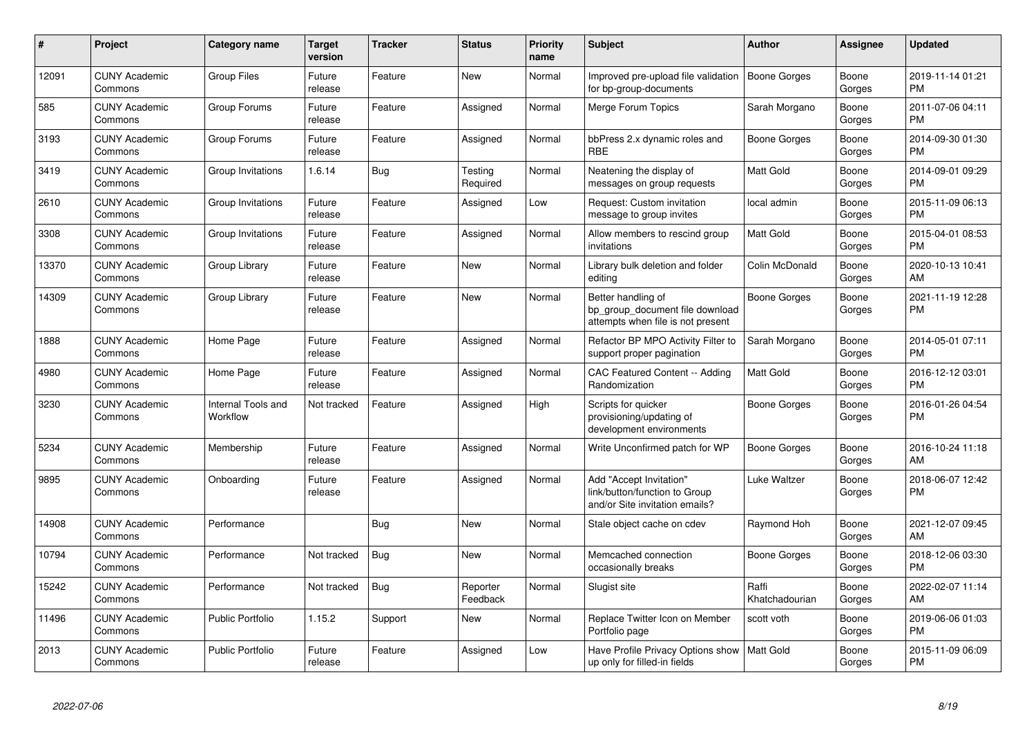| #     | <b>Project</b>                  | <b>Category name</b>           | <b>Target</b><br>version | <b>Tracker</b> | <b>Status</b>        | <b>Priority</b><br>name | <b>Subject</b>                                                                             | <b>Author</b>           | Assignee        | <b>Updated</b>                |
|-------|---------------------------------|--------------------------------|--------------------------|----------------|----------------------|-------------------------|--------------------------------------------------------------------------------------------|-------------------------|-----------------|-------------------------------|
| 12091 | <b>CUNY Academic</b><br>Commons | <b>Group Files</b>             | Future<br>release        | Feature        | <b>New</b>           | Normal                  | Improved pre-upload file validation<br>for bp-group-documents                              | Boone Gorges            | Boone<br>Gorges | 2019-11-14 01:21<br><b>PM</b> |
| 585   | <b>CUNY Academic</b><br>Commons | Group Forums                   | Future<br>release        | Feature        | Assigned             | Normal                  | Merge Forum Topics                                                                         | Sarah Morgano           | Boone<br>Gorges | 2011-07-06 04:11<br><b>PM</b> |
| 3193  | <b>CUNY Academic</b><br>Commons | Group Forums                   | Future<br>release        | Feature        | Assigned             | Normal                  | bbPress 2.x dynamic roles and<br><b>RBE</b>                                                | Boone Gorges            | Boone<br>Gorges | 2014-09-30 01:30<br><b>PM</b> |
| 3419  | <b>CUNY Academic</b><br>Commons | Group Invitations              | 1.6.14                   | Bug            | Testing<br>Required  | Normal                  | Neatening the display of<br>messages on group requests                                     | Matt Gold               | Boone<br>Gorges | 2014-09-01 09:29<br><b>PM</b> |
| 2610  | <b>CUNY Academic</b><br>Commons | Group Invitations              | Future<br>release        | Feature        | Assigned             | Low                     | Request: Custom invitation<br>message to group invites                                     | local admin             | Boone<br>Gorges | 2015-11-09 06:13<br><b>PM</b> |
| 3308  | <b>CUNY Academic</b><br>Commons | Group Invitations              | Future<br>release        | Feature        | Assigned             | Normal                  | Allow members to rescind group<br>invitations                                              | Matt Gold               | Boone<br>Gorges | 2015-04-01 08:53<br><b>PM</b> |
| 13370 | <b>CUNY Academic</b><br>Commons | Group Library                  | Future<br>release        | Feature        | <b>New</b>           | Normal                  | Library bulk deletion and folder<br>editing                                                | Colin McDonald          | Boone<br>Gorges | 2020-10-13 10:41<br>AM        |
| 14309 | <b>CUNY Academic</b><br>Commons | Group Library                  | Future<br>release        | Feature        | <b>New</b>           | Normal                  | Better handling of<br>bp group document file download<br>attempts when file is not present | Boone Gorges            | Boone<br>Gorges | 2021-11-19 12:28<br><b>PM</b> |
| 1888  | <b>CUNY Academic</b><br>Commons | Home Page                      | Future<br>release        | Feature        | Assigned             | Normal                  | Refactor BP MPO Activity Filter to<br>support proper pagination                            | Sarah Morgano           | Boone<br>Gorges | 2014-05-01 07:11<br><b>PM</b> |
| 4980  | <b>CUNY Academic</b><br>Commons | Home Page                      | Future<br>release        | Feature        | Assigned             | Normal                  | <b>CAC Featured Content -- Adding</b><br>Randomization                                     | <b>Matt Gold</b>        | Boone<br>Gorges | 2016-12-12 03:01<br><b>PM</b> |
| 3230  | <b>CUNY Academic</b><br>Commons | Internal Tools and<br>Workflow | Not tracked              | Feature        | Assigned             | High                    | Scripts for quicker<br>provisioning/updating of<br>development environments                | Boone Gorges            | Boone<br>Gorges | 2016-01-26 04:54<br><b>PM</b> |
| 5234  | <b>CUNY Academic</b><br>Commons | Membership                     | Future<br>release        | Feature        | Assigned             | Normal                  | Write Unconfirmed patch for WP                                                             | Boone Gorges            | Boone<br>Gorges | 2016-10-24 11:18<br>AM        |
| 9895  | <b>CUNY Academic</b><br>Commons | Onboarding                     | Future<br>release        | Feature        | Assigned             | Normal                  | Add "Accept Invitation"<br>link/button/function to Group<br>and/or Site invitation emails? | Luke Waltzer            | Boone<br>Gorges | 2018-06-07 12:42<br><b>PM</b> |
| 14908 | <b>CUNY Academic</b><br>Commons | Performance                    |                          | <b>Bug</b>     | <b>New</b>           | Normal                  | Stale object cache on cdev                                                                 | Raymond Hoh             | Boone<br>Gorges | 2021-12-07 09:45<br>AM        |
| 10794 | <b>CUNY Academic</b><br>Commons | Performance                    | Not tracked              | <b>Bug</b>     | <b>New</b>           | Normal                  | Memcached connection<br>occasionally breaks                                                | Boone Gorges            | Boone<br>Gorges | 2018-12-06 03:30<br><b>PM</b> |
| 15242 | <b>CUNY Academic</b><br>Commons | Performance                    | Not tracked              | <b>Bug</b>     | Reporter<br>Feedback | Normal                  | Slugist site                                                                               | Raffi<br>Khatchadourian | Boone<br>Gorges | 2022-02-07 11:14<br>AM        |
| 11496 | <b>CUNY Academic</b><br>Commons | <b>Public Portfolio</b>        | 1.15.2                   | Support        | New                  | Normal                  | Replace Twitter Icon on Member<br>Portfolio page                                           | scott voth              | Boone<br>Gorges | 2019-06-06 01:03<br><b>PM</b> |
| 2013  | <b>CUNY Academic</b><br>Commons | <b>Public Portfolio</b>        | Future<br>release        | Feature        | Assigned             | Low                     | Have Profile Privacy Options show<br>up only for filled-in fields                          | <b>Matt Gold</b>        | Boone<br>Gorges | 2015-11-09 06:09<br><b>PM</b> |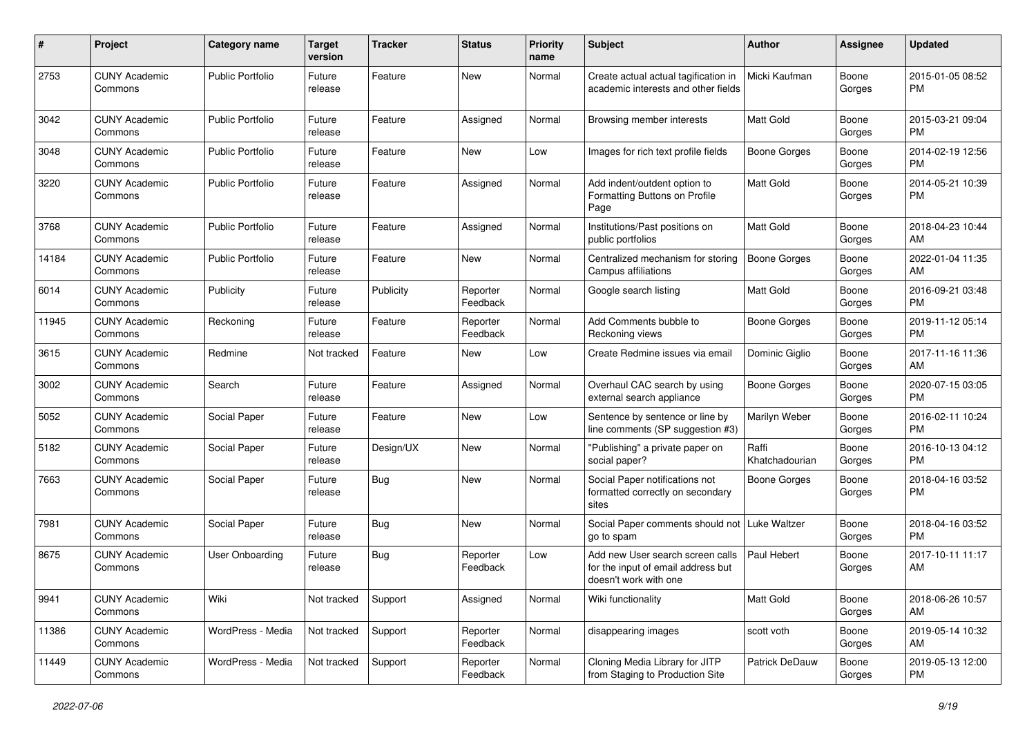| #     | Project                         | <b>Category name</b>    | <b>Target</b><br>version | <b>Tracker</b> | <b>Status</b>        | Priority<br>name | <b>Subject</b>                                                                                  | Author                  | <b>Assignee</b> | <b>Updated</b>                |
|-------|---------------------------------|-------------------------|--------------------------|----------------|----------------------|------------------|-------------------------------------------------------------------------------------------------|-------------------------|-----------------|-------------------------------|
| 2753  | <b>CUNY Academic</b><br>Commons | Public Portfolio        | Future<br>release        | Feature        | <b>New</b>           | Normal           | Create actual actual tagification in<br>academic interests and other fields                     | Micki Kaufman           | Boone<br>Gorges | 2015-01-05 08:52<br><b>PM</b> |
| 3042  | <b>CUNY Academic</b><br>Commons | Public Portfolio        | Future<br>release        | Feature        | Assigned             | Normal           | Browsing member interests                                                                       | <b>Matt Gold</b>        | Boone<br>Gorges | 2015-03-21 09:04<br>PM.       |
| 3048  | <b>CUNY Academic</b><br>Commons | <b>Public Portfolio</b> | Future<br>release        | Feature        | New                  | Low              | Images for rich text profile fields                                                             | <b>Boone Gorges</b>     | Boone<br>Gorges | 2014-02-19 12:56<br><b>PM</b> |
| 3220  | <b>CUNY Academic</b><br>Commons | <b>Public Portfolio</b> | Future<br>release        | Feature        | Assigned             | Normal           | Add indent/outdent option to<br>Formatting Buttons on Profile<br>Page                           | Matt Gold               | Boone<br>Gorges | 2014-05-21 10:39<br><b>PM</b> |
| 3768  | <b>CUNY Academic</b><br>Commons | <b>Public Portfolio</b> | Future<br>release        | Feature        | Assigned             | Normal           | Institutions/Past positions on<br>public portfolios                                             | <b>Matt Gold</b>        | Boone<br>Gorges | 2018-04-23 10:44<br>AM        |
| 14184 | <b>CUNY Academic</b><br>Commons | <b>Public Portfolio</b> | Future<br>release        | Feature        | <b>New</b>           | Normal           | Centralized mechanism for storing<br>Campus affiliations                                        | <b>Boone Gorges</b>     | Boone<br>Gorges | 2022-01-04 11:35<br>AM        |
| 6014  | <b>CUNY Academic</b><br>Commons | Publicity               | Future<br>release        | Publicity      | Reporter<br>Feedback | Normal           | Google search listing                                                                           | <b>Matt Gold</b>        | Boone<br>Gorges | 2016-09-21 03:48<br><b>PM</b> |
| 11945 | <b>CUNY Academic</b><br>Commons | Reckoning               | Future<br>release        | Feature        | Reporter<br>Feedback | Normal           | Add Comments bubble to<br>Reckoning views                                                       | <b>Boone Gorges</b>     | Boone<br>Gorges | 2019-11-12 05:14<br><b>PM</b> |
| 3615  | <b>CUNY Academic</b><br>Commons | Redmine                 | Not tracked              | Feature        | New                  | Low              | Create Redmine issues via email                                                                 | Dominic Giglio          | Boone<br>Gorges | 2017-11-16 11:36<br>AM        |
| 3002  | <b>CUNY Academic</b><br>Commons | Search                  | Future<br>release        | Feature        | Assigned             | Normal           | Overhaul CAC search by using<br>external search appliance                                       | <b>Boone Gorges</b>     | Boone<br>Gorges | 2020-07-15 03:05<br>PM        |
| 5052  | <b>CUNY Academic</b><br>Commons | Social Paper            | Future<br>release        | Feature        | <b>New</b>           | Low              | Sentence by sentence or line by<br>line comments (SP suggestion #3)                             | Marilyn Weber           | Boone<br>Gorges | 2016-02-11 10:24<br><b>PM</b> |
| 5182  | <b>CUNY Academic</b><br>Commons | Social Paper            | Future<br>release        | Design/UX      | New                  | Normal           | "Publishing" a private paper on<br>social paper?                                                | Raffi<br>Khatchadourian | Boone<br>Gorges | 2016-10-13 04:12<br><b>PM</b> |
| 7663  | <b>CUNY Academic</b><br>Commons | Social Paper            | Future<br>release        | Bug            | <b>New</b>           | Normal           | Social Paper notifications not<br>formatted correctly on secondary<br>sites                     | <b>Boone Gorges</b>     | Boone<br>Gorges | 2018-04-16 03:52<br><b>PM</b> |
| 7981  | <b>CUNY Academic</b><br>Commons | Social Paper            | Future<br>release        | <b>Bug</b>     | <b>New</b>           | Normal           | Social Paper comments should not<br>go to spam                                                  | Luke Waltzer            | Boone<br>Gorges | 2018-04-16 03:52<br><b>PM</b> |
| 8675  | <b>CUNY Academic</b><br>Commons | User Onboarding         | Future<br>release        | <b>Bug</b>     | Reporter<br>Feedback | Low              | Add new User search screen calls<br>for the input of email address but<br>doesn't work with one | Paul Hebert             | Boone<br>Gorges | 2017-10-11 11:17<br>AM        |
| 9941  | <b>CUNY Academic</b><br>Commons | Wiki                    | Not tracked              | Support        | Assigned             | Normal           | Wiki functionality                                                                              | Matt Gold               | Boone<br>Gorges | 2018-06-26 10:57<br>AM        |
| 11386 | <b>CUNY Academic</b><br>Commons | WordPress - Media       | Not tracked              | Support        | Reporter<br>Feedback | Normal           | disappearing images                                                                             | scott voth              | Boone<br>Gorges | 2019-05-14 10:32<br>AM        |
| 11449 | <b>CUNY Academic</b><br>Commons | WordPress - Media       | Not tracked              | Support        | Reporter<br>Feedback | Normal           | Cloning Media Library for JITP<br>from Staging to Production Site                               | Patrick DeDauw          | Boone<br>Gorges | 2019-05-13 12:00<br><b>PM</b> |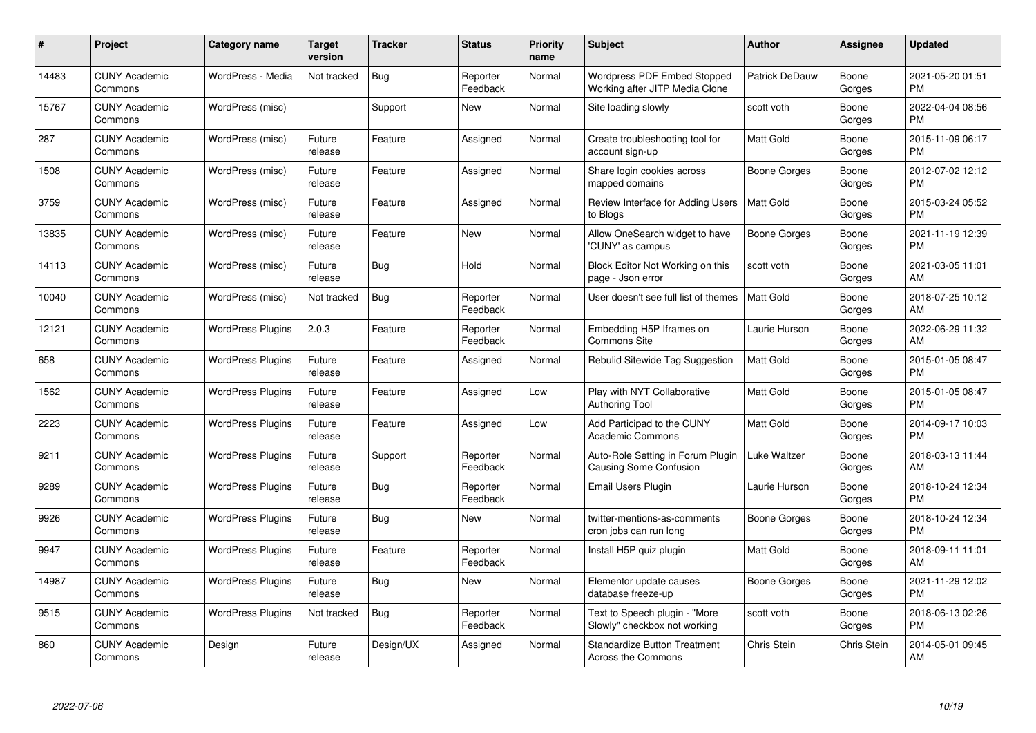| $\pmb{\#}$ | Project                         | <b>Category name</b>     | <b>Target</b><br>version | <b>Tracker</b> | <b>Status</b>        | <b>Priority</b><br>name | <b>Subject</b>                                                   | <b>Author</b>         | <b>Assignee</b> | <b>Updated</b>                |
|------------|---------------------------------|--------------------------|--------------------------|----------------|----------------------|-------------------------|------------------------------------------------------------------|-----------------------|-----------------|-------------------------------|
| 14483      | <b>CUNY Academic</b><br>Commons | WordPress - Media        | Not tracked              | <b>Bug</b>     | Reporter<br>Feedback | Normal                  | Wordpress PDF Embed Stopped<br>Working after JITP Media Clone    | <b>Patrick DeDauw</b> | Boone<br>Gorges | 2021-05-20 01:51<br><b>PM</b> |
| 15767      | <b>CUNY Academic</b><br>Commons | WordPress (misc)         |                          | Support        | New                  | Normal                  | Site loading slowly                                              | scott voth            | Boone<br>Gorges | 2022-04-04 08:56<br>PM        |
| 287        | <b>CUNY Academic</b><br>Commons | WordPress (misc)         | Future<br>release        | Feature        | Assigned             | Normal                  | Create troubleshooting tool for<br>account sign-up               | <b>Matt Gold</b>      | Boone<br>Gorges | 2015-11-09 06:17<br><b>PM</b> |
| 1508       | <b>CUNY Academic</b><br>Commons | WordPress (misc)         | Future<br>release        | Feature        | Assigned             | Normal                  | Share login cookies across<br>mapped domains                     | Boone Gorges          | Boone<br>Gorges | 2012-07-02 12:12<br><b>PM</b> |
| 3759       | <b>CUNY Academic</b><br>Commons | WordPress (misc)         | Future<br>release        | Feature        | Assigned             | Normal                  | Review Interface for Adding Users<br>to Blogs                    | <b>Matt Gold</b>      | Boone<br>Gorges | 2015-03-24 05:52<br>PM        |
| 13835      | <b>CUNY Academic</b><br>Commons | WordPress (misc)         | Future<br>release        | Feature        | <b>New</b>           | Normal                  | Allow OneSearch widget to have<br>'CUNY' as campus               | <b>Boone Gorges</b>   | Boone<br>Gorges | 2021-11-19 12:39<br><b>PM</b> |
| 14113      | <b>CUNY Academic</b><br>Commons | WordPress (misc)         | Future<br>release        | <b>Bug</b>     | Hold                 | Normal                  | Block Editor Not Working on this<br>page - Json error            | scott voth            | Boone<br>Gorges | 2021-03-05 11:01<br>AM        |
| 10040      | <b>CUNY Academic</b><br>Commons | WordPress (misc)         | Not tracked              | <b>Bug</b>     | Reporter<br>Feedback | Normal                  | User doesn't see full list of themes                             | <b>Matt Gold</b>      | Boone<br>Gorges | 2018-07-25 10:12<br>AM        |
| 12121      | <b>CUNY Academic</b><br>Commons | <b>WordPress Plugins</b> | 2.0.3                    | Feature        | Reporter<br>Feedback | Normal                  | Embedding H5P Iframes on<br>Commons Site                         | Laurie Hurson         | Boone<br>Gorges | 2022-06-29 11:32<br>AM        |
| 658        | <b>CUNY Academic</b><br>Commons | <b>WordPress Plugins</b> | Future<br>release        | Feature        | Assigned             | Normal                  | Rebulid Sitewide Tag Suggestion                                  | <b>Matt Gold</b>      | Boone<br>Gorges | 2015-01-05 08:47<br>PM        |
| 1562       | <b>CUNY Academic</b><br>Commons | <b>WordPress Plugins</b> | Future<br>release        | Feature        | Assigned             | Low                     | Play with NYT Collaborative<br><b>Authoring Tool</b>             | Matt Gold             | Boone<br>Gorges | 2015-01-05 08:47<br>PM        |
| 2223       | <b>CUNY Academic</b><br>Commons | <b>WordPress Plugins</b> | Future<br>release        | Feature        | Assigned             | Low                     | Add Participad to the CUNY<br><b>Academic Commons</b>            | <b>Matt Gold</b>      | Boone<br>Gorges | 2014-09-17 10:03<br><b>PM</b> |
| 9211       | <b>CUNY Academic</b><br>Commons | <b>WordPress Plugins</b> | Future<br>release        | Support        | Reporter<br>Feedback | Normal                  | Auto-Role Setting in Forum Plugin<br>Causing Some Confusion      | Luke Waltzer          | Boone<br>Gorges | 2018-03-13 11:44<br>AM        |
| 9289       | <b>CUNY Academic</b><br>Commons | <b>WordPress Plugins</b> | Future<br>release        | <b>Bug</b>     | Reporter<br>Feedback | Normal                  | Email Users Plugin                                               | Laurie Hurson         | Boone<br>Gorges | 2018-10-24 12:34<br>PM        |
| 9926       | <b>CUNY Academic</b><br>Commons | <b>WordPress Plugins</b> | Future<br>release        | <b>Bug</b>     | New                  | Normal                  | twitter-mentions-as-comments<br>cron jobs can run long           | Boone Gorges          | Boone<br>Gorges | 2018-10-24 12:34<br>PM        |
| 9947       | <b>CUNY Academic</b><br>Commons | <b>WordPress Plugins</b> | Future<br>release        | Feature        | Reporter<br>Feedback | Normal                  | Install H5P quiz plugin                                          | <b>Matt Gold</b>      | Boone<br>Gorges | 2018-09-11 11:01<br>AM        |
| 14987      | <b>CUNY Academic</b><br>Commons | <b>WordPress Plugins</b> | Future<br>release        | Bug            | New                  | Normal                  | Elementor update causes<br>database freeze-up                    | Boone Gorges          | Boone<br>Gorges | 2021-11-29 12:02<br>PM        |
| 9515       | <b>CUNY Academic</b><br>Commons | <b>WordPress Plugins</b> | Not tracked              | Bug            | Reporter<br>Feedback | Normal                  | Text to Speech plugin - "More<br>Slowly" checkbox not working    | scott voth            | Boone<br>Gorges | 2018-06-13 02:26<br>PM        |
| 860        | <b>CUNY Academic</b><br>Commons | Design                   | Future<br>release        | Design/UX      | Assigned             | Normal                  | <b>Standardize Button Treatment</b><br><b>Across the Commons</b> | Chris Stein           | Chris Stein     | 2014-05-01 09:45<br>AM        |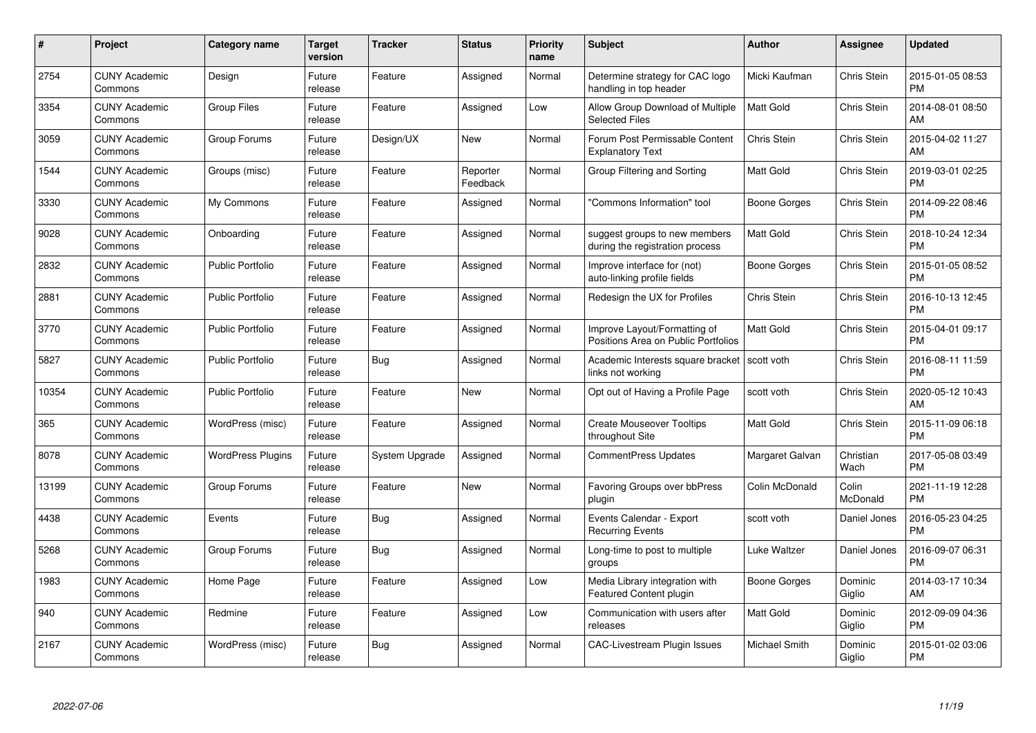| #     | Project                         | Category name            | <b>Target</b><br>version | <b>Tracker</b>        | <b>Status</b>        | <b>Priority</b><br>name | <b>Subject</b>                                                      | <b>Author</b>       | Assignee           | <b>Updated</b>                |
|-------|---------------------------------|--------------------------|--------------------------|-----------------------|----------------------|-------------------------|---------------------------------------------------------------------|---------------------|--------------------|-------------------------------|
| 2754  | <b>CUNY Academic</b><br>Commons | Design                   | Future<br>release        | Feature               | Assigned             | Normal                  | Determine strategy for CAC logo<br>handling in top header           | Micki Kaufman       | Chris Stein        | 2015-01-05 08:53<br><b>PM</b> |
| 3354  | <b>CUNY Academic</b><br>Commons | <b>Group Files</b>       | Future<br>release        | Feature               | Assigned             | Low                     | Allow Group Download of Multiple<br>Selected Files                  | Matt Gold           | <b>Chris Stein</b> | 2014-08-01 08:50<br>AM        |
| 3059  | <b>CUNY Academic</b><br>Commons | Group Forums             | Future<br>release        | Design/UX             | <b>New</b>           | Normal                  | Forum Post Permissable Content<br><b>Explanatory Text</b>           | Chris Stein         | <b>Chris Stein</b> | 2015-04-02 11:27<br>AM        |
| 1544  | <b>CUNY Academic</b><br>Commons | Groups (misc)            | Future<br>release        | Feature               | Reporter<br>Feedback | Normal                  | Group Filtering and Sorting                                         | Matt Gold           | Chris Stein        | 2019-03-01 02:25<br><b>PM</b> |
| 3330  | <b>CUNY Academic</b><br>Commons | My Commons               | Future<br>release        | Feature               | Assigned             | Normal                  | "Commons Information" tool                                          | <b>Boone Gorges</b> | Chris Stein        | 2014-09-22 08:46<br><b>PM</b> |
| 9028  | <b>CUNY Academic</b><br>Commons | Onboarding               | Future<br>release        | Feature               | Assigned             | Normal                  | suggest groups to new members<br>during the registration process    | <b>Matt Gold</b>    | Chris Stein        | 2018-10-24 12:34<br><b>PM</b> |
| 2832  | <b>CUNY Academic</b><br>Commons | <b>Public Portfolio</b>  | Future<br>release        | Feature               | Assigned             | Normal                  | Improve interface for (not)<br>auto-linking profile fields          | Boone Gorges        | <b>Chris Stein</b> | 2015-01-05 08:52<br><b>PM</b> |
| 2881  | <b>CUNY Academic</b><br>Commons | <b>Public Portfolio</b>  | Future<br>release        | Feature               | Assigned             | Normal                  | Redesign the UX for Profiles                                        | Chris Stein         | Chris Stein        | 2016-10-13 12:45<br><b>PM</b> |
| 3770  | <b>CUNY Academic</b><br>Commons | <b>Public Portfolio</b>  | Future<br>release        | Feature               | Assigned             | Normal                  | Improve Layout/Formatting of<br>Positions Area on Public Portfolios | <b>Matt Gold</b>    | Chris Stein        | 2015-04-01 09:17<br><b>PM</b> |
| 5827  | <b>CUNY Academic</b><br>Commons | <b>Public Portfolio</b>  | Future<br>release        | <b>Bug</b>            | Assigned             | Normal                  | Academic Interests square bracket<br>links not working              | scott voth          | Chris Stein        | 2016-08-11 11:59<br>PM        |
| 10354 | <b>CUNY Academic</b><br>Commons | <b>Public Portfolio</b>  | Future<br>release        | Feature               | New                  | Normal                  | Opt out of Having a Profile Page                                    | scott voth          | Chris Stein        | 2020-05-12 10:43<br>AM        |
| 365   | <b>CUNY Academic</b><br>Commons | WordPress (misc)         | Future<br>release        | Feature               | Assigned             | Normal                  | <b>Create Mouseover Tooltips</b><br>throughout Site                 | <b>Matt Gold</b>    | Chris Stein        | 2015-11-09 06:18<br><b>PM</b> |
| 8078  | <b>CUNY Academic</b><br>Commons | <b>WordPress Plugins</b> | Future<br>release        | <b>System Upgrade</b> | Assigned             | Normal                  | <b>CommentPress Updates</b>                                         | Margaret Galvan     | Christian<br>Wach  | 2017-05-08 03:49<br><b>PM</b> |
| 13199 | <b>CUNY Academic</b><br>Commons | Group Forums             | Future<br>release        | Feature               | <b>New</b>           | Normal                  | Favoring Groups over bbPress<br>plugin                              | Colin McDonald      | Colin<br>McDonald  | 2021-11-19 12:28<br>PM        |
| 4438  | <b>CUNY Academic</b><br>Commons | Events                   | Future<br>release        | Bug                   | Assigned             | Normal                  | Events Calendar - Export<br><b>Recurring Events</b>                 | scott voth          | Daniel Jones       | 2016-05-23 04:25<br><b>PM</b> |
| 5268  | <b>CUNY Academic</b><br>Commons | Group Forums             | Future<br>release        | Bug                   | Assigned             | Normal                  | Long-time to post to multiple<br>groups                             | Luke Waltzer        | Daniel Jones       | 2016-09-07 06:31<br><b>PM</b> |
| 1983  | <b>CUNY Academic</b><br>Commons | Home Page                | Future<br>release        | Feature               | Assigned             | Low                     | Media Library integration with<br><b>Featured Content plugin</b>    | Boone Gorges        | Dominic<br>Giglio  | 2014-03-17 10:34<br>AM        |
| 940   | <b>CUNY Academic</b><br>Commons | Redmine                  | Future<br>release        | Feature               | Assigned             | Low                     | Communication with users after<br>releases                          | <b>Matt Gold</b>    | Dominic<br>Giglio  | 2012-09-09 04:36<br><b>PM</b> |
| 2167  | CUNY Academic<br>Commons        | WordPress (misc)         | Future<br>release        | Bug                   | Assigned             | Normal                  | <b>CAC-Livestream Plugin Issues</b>                                 | Michael Smith       | Dominic<br>Giglio  | 2015-01-02 03:06<br><b>PM</b> |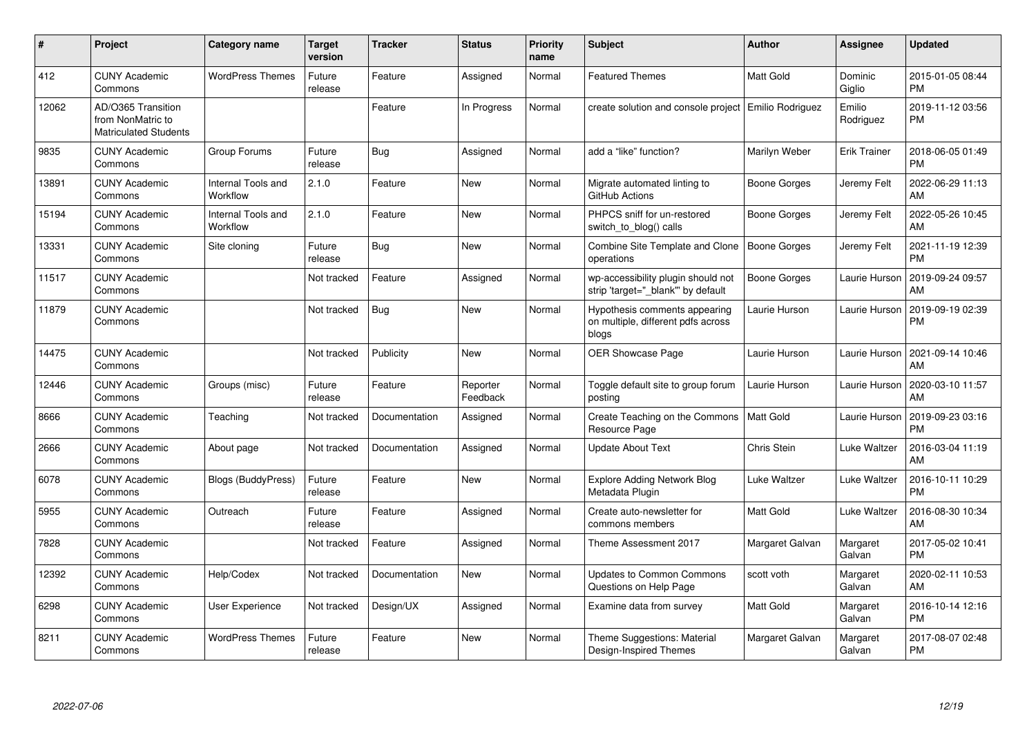| #     | Project                                                                 | <b>Category name</b>           | <b>Target</b><br>version | <b>Tracker</b> | <b>Status</b>        | <b>Priority</b><br>name | <b>Subject</b>                                                               | <b>Author</b>       | <b>Assignee</b>     | <b>Updated</b>                |
|-------|-------------------------------------------------------------------------|--------------------------------|--------------------------|----------------|----------------------|-------------------------|------------------------------------------------------------------------------|---------------------|---------------------|-------------------------------|
| 412   | <b>CUNY Academic</b><br>Commons                                         | <b>WordPress Themes</b>        | Future<br>release        | Feature        | Assigned             | Normal                  | <b>Featured Themes</b>                                                       | <b>Matt Gold</b>    | Dominic<br>Giglio   | 2015-01-05 08:44<br><b>PM</b> |
| 12062 | AD/O365 Transition<br>from NonMatric to<br><b>Matriculated Students</b> |                                |                          | Feature        | In Progress          | Normal                  | create solution and console project   Emilio Rodriguez                       |                     | Emilio<br>Rodriguez | 2019-11-12 03:56<br>PM        |
| 9835  | <b>CUNY Academic</b><br>Commons                                         | Group Forums                   | Future<br>release        | <b>Bug</b>     | Assigned             | Normal                  | add a "like" function?                                                       | Marilyn Weber       | <b>Erik Trainer</b> | 2018-06-05 01:49<br><b>PM</b> |
| 13891 | <b>CUNY Academic</b><br>Commons                                         | Internal Tools and<br>Workflow | 2.1.0                    | Feature        | New                  | Normal                  | Migrate automated linting to<br>GitHub Actions                               | Boone Gorges        | Jeremy Felt         | 2022-06-29 11:13<br>AM        |
| 15194 | <b>CUNY Academic</b><br>Commons                                         | Internal Tools and<br>Workflow | 2.1.0                    | Feature        | New                  | Normal                  | PHPCS sniff for un-restored<br>switch to blog() calls                        | Boone Gorges        | Jeremy Felt         | 2022-05-26 10:45<br>AM        |
| 13331 | <b>CUNY Academic</b><br>Commons                                         | Site cloning                   | Future<br>release        | Bug            | New                  | Normal                  | Combine Site Template and Clone<br>operations                                | <b>Boone Gorges</b> | Jeremy Felt         | 2021-11-19 12:39<br><b>PM</b> |
| 11517 | <b>CUNY Academic</b><br>Commons                                         |                                | Not tracked              | Feature        | Assigned             | Normal                  | wp-accessibility plugin should not<br>strip 'target=" blank" by default      | Boone Gorges        | Laurie Hurson       | 2019-09-24 09:57<br>AM        |
| 11879 | <b>CUNY Academic</b><br>Commons                                         |                                | Not tracked              | Bug            | <b>New</b>           | Normal                  | Hypothesis comments appearing<br>on multiple, different pdfs across<br>blogs | Laurie Hurson       | Laurie Hurson       | 2019-09-19 02:39<br><b>PM</b> |
| 14475 | <b>CUNY Academic</b><br>Commons                                         |                                | Not tracked              | Publicity      | <b>New</b>           | Normal                  | OER Showcase Page                                                            | Laurie Hurson       | Laurie Hurson       | 2021-09-14 10:46<br>AM        |
| 12446 | <b>CUNY Academic</b><br>Commons                                         | Groups (misc)                  | Future<br>release        | Feature        | Reporter<br>Feedback | Normal                  | Toggle default site to group forum<br>posting                                | Laurie Hurson       | Laurie Hurson       | 2020-03-10 11:57<br>AM        |
| 8666  | <b>CUNY Academic</b><br>Commons                                         | Teaching                       | Not tracked              | Documentation  | Assigned             | Normal                  | Create Teaching on the Commons   Matt Gold<br>Resource Page                  |                     | Laurie Hurson       | 2019-09-23 03:16<br><b>PM</b> |
| 2666  | <b>CUNY Academic</b><br>Commons                                         | About page                     | Not tracked              | Documentation  | Assigned             | Normal                  | <b>Update About Text</b>                                                     | Chris Stein         | Luke Waltzer        | 2016-03-04 11:19<br>AM        |
| 6078  | <b>CUNY Academic</b><br>Commons                                         | Blogs (BuddyPress)             | Future<br>release        | Feature        | <b>New</b>           | Normal                  | <b>Explore Adding Network Blog</b><br>Metadata Plugin                        | Luke Waltzer        | Luke Waltzer        | 2016-10-11 10:29<br><b>PM</b> |
| 5955  | <b>CUNY Academic</b><br>Commons                                         | Outreach                       | Future<br>release        | Feature        | Assigned             | Normal                  | Create auto-newsletter for<br>commons members                                | <b>Matt Gold</b>    | Luke Waltzer        | 2016-08-30 10:34<br>AM        |
| 7828  | <b>CUNY Academic</b><br>Commons                                         |                                | Not tracked              | Feature        | Assigned             | Normal                  | Theme Assessment 2017                                                        | Margaret Galvan     | Margaret<br>Galvan  | 2017-05-02 10:41<br><b>PM</b> |
| 12392 | <b>CUNY Academic</b><br>Commons                                         | Help/Codex                     | Not tracked              | Documentation  | <b>New</b>           | Normal                  | Updates to Common Commons<br>Questions on Help Page                          | scott voth          | Margaret<br>Galvan  | 2020-02-11 10:53<br>AM        |
| 6298  | <b>CUNY Academic</b><br>Commons                                         | User Experience                | Not tracked              | Design/UX      | Assigned             | Normal                  | Examine data from survey                                                     | <b>Matt Gold</b>    | Margaret<br>Galvan  | 2016-10-14 12:16<br><b>PM</b> |
| 8211  | <b>CUNY Academic</b><br>Commons                                         | <b>WordPress Themes</b>        | Future<br>release        | Feature        | <b>New</b>           | Normal                  | Theme Suggestions: Material<br>Design-Inspired Themes                        | Margaret Galvan     | Margaret<br>Galvan  | 2017-08-07 02:48<br><b>PM</b> |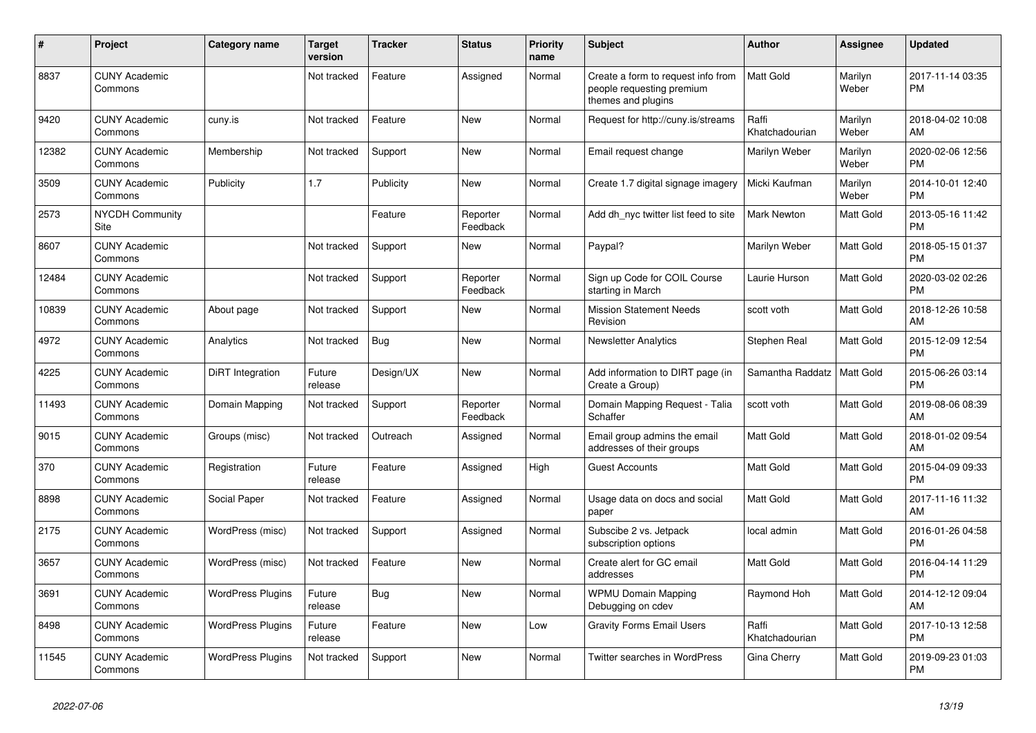| $\vert$ # | <b>Project</b>                  | Category name            | <b>Target</b><br>version | <b>Tracker</b> | <b>Status</b>        | Priority<br>name | <b>Subject</b>                                                                        | Author                  | Assignee         | <b>Updated</b>                |
|-----------|---------------------------------|--------------------------|--------------------------|----------------|----------------------|------------------|---------------------------------------------------------------------------------------|-------------------------|------------------|-------------------------------|
| 8837      | <b>CUNY Academic</b><br>Commons |                          | Not tracked              | Feature        | Assigned             | Normal           | Create a form to request info from<br>people requesting premium<br>themes and plugins | <b>Matt Gold</b>        | Marilyn<br>Weber | 2017-11-14 03:35<br><b>PM</b> |
| 9420      | <b>CUNY Academic</b><br>Commons | cuny.is                  | Not tracked              | Feature        | New                  | Normal           | Request for http://cuny.is/streams                                                    | Raffi<br>Khatchadourian | Marilyn<br>Weber | 2018-04-02 10:08<br>AM        |
| 12382     | <b>CUNY Academic</b><br>Commons | Membership               | Not tracked              | Support        | <b>New</b>           | Normal           | Email request change                                                                  | Marilyn Weber           | Marilyn<br>Weber | 2020-02-06 12:56<br><b>PM</b> |
| 3509      | <b>CUNY Academic</b><br>Commons | Publicity                | 1.7                      | Publicity      | <b>New</b>           | Normal           | Create 1.7 digital signage imagery                                                    | Micki Kaufman           | Marilyn<br>Weber | 2014-10-01 12:40<br><b>PM</b> |
| 2573      | NYCDH Community<br>Site         |                          |                          | Feature        | Reporter<br>Feedback | Normal           | Add dh nyc twitter list feed to site                                                  | Mark Newton             | Matt Gold        | 2013-05-16 11:42<br><b>PM</b> |
| 8607      | <b>CUNY Academic</b><br>Commons |                          | Not tracked              | Support        | New                  | Normal           | Paypal?                                                                               | Marilyn Weber           | Matt Gold        | 2018-05-15 01:37<br><b>PM</b> |
| 12484     | <b>CUNY Academic</b><br>Commons |                          | Not tracked              | Support        | Reporter<br>Feedback | Normal           | Sign up Code for COIL Course<br>starting in March                                     | Laurie Hurson           | Matt Gold        | 2020-03-02 02:26<br><b>PM</b> |
| 10839     | <b>CUNY Academic</b><br>Commons | About page               | Not tracked              | Support        | New                  | Normal           | <b>Mission Statement Needs</b><br>Revision                                            | scott voth              | Matt Gold        | 2018-12-26 10:58<br>AM        |
| 4972      | <b>CUNY Academic</b><br>Commons | Analytics                | Not tracked              | <b>Bug</b>     | <b>New</b>           | Normal           | Newsletter Analytics                                                                  | Stephen Real            | Matt Gold        | 2015-12-09 12:54<br><b>PM</b> |
| 4225      | <b>CUNY Academic</b><br>Commons | <b>DiRT</b> Integration  | Future<br>release        | Design/UX      | <b>New</b>           | Normal           | Add information to DIRT page (in<br>Create a Group)                                   | Samantha Raddatz        | Matt Gold        | 2015-06-26 03:14<br><b>PM</b> |
| 11493     | <b>CUNY Academic</b><br>Commons | Domain Mapping           | Not tracked              | Support        | Reporter<br>Feedback | Normal           | Domain Mapping Request - Talia<br>Schaffer                                            | scott voth              | Matt Gold        | 2019-08-06 08:39<br>AM        |
| 9015      | <b>CUNY Academic</b><br>Commons | Groups (misc)            | Not tracked              | Outreach       | Assigned             | Normal           | Email group admins the email<br>addresses of their groups                             | Matt Gold               | Matt Gold        | 2018-01-02 09:54<br>AM        |
| 370       | <b>CUNY Academic</b><br>Commons | Registration             | Future<br>release        | Feature        | Assigned             | High             | <b>Guest Accounts</b>                                                                 | <b>Matt Gold</b>        | Matt Gold        | 2015-04-09 09:33<br><b>PM</b> |
| 8898      | <b>CUNY Academic</b><br>Commons | Social Paper             | Not tracked              | Feature        | Assigned             | Normal           | Usage data on docs and social<br>paper                                                | <b>Matt Gold</b>        | Matt Gold        | 2017-11-16 11:32<br>AM        |
| 2175      | <b>CUNY Academic</b><br>Commons | WordPress (misc)         | Not tracked              | Support        | Assigned             | Normal           | Subscibe 2 vs. Jetpack<br>subscription options                                        | local admin             | Matt Gold        | 2016-01-26 04:58<br><b>PM</b> |
| 3657      | <b>CUNY Academic</b><br>Commons | WordPress (misc)         | Not tracked              | Feature        | <b>New</b>           | Normal           | Create alert for GC email<br>addresses                                                | <b>Matt Gold</b>        | Matt Gold        | 2016-04-14 11:29<br><b>PM</b> |
| 3691      | <b>CUNY Academic</b><br>Commons | <b>WordPress Plugins</b> | Future<br>release        | <b>Bug</b>     | <b>New</b>           | Normal           | <b>WPMU Domain Mapping</b><br>Debugging on cdev                                       | Raymond Hoh             | Matt Gold        | 2014-12-12 09:04<br>AM        |
| 8498      | <b>CUNY Academic</b><br>Commons | <b>WordPress Plugins</b> | Future<br>release        | Feature        | New                  | Low              | <b>Gravity Forms Email Users</b>                                                      | Raffi<br>Khatchadourian | Matt Gold        | 2017-10-13 12:58<br><b>PM</b> |
| 11545     | <b>CUNY Academic</b><br>Commons | <b>WordPress Plugins</b> | Not tracked              | Support        | <b>New</b>           | Normal           | Twitter searches in WordPress                                                         | Gina Cherry             | Matt Gold        | 2019-09-23 01:03<br><b>PM</b> |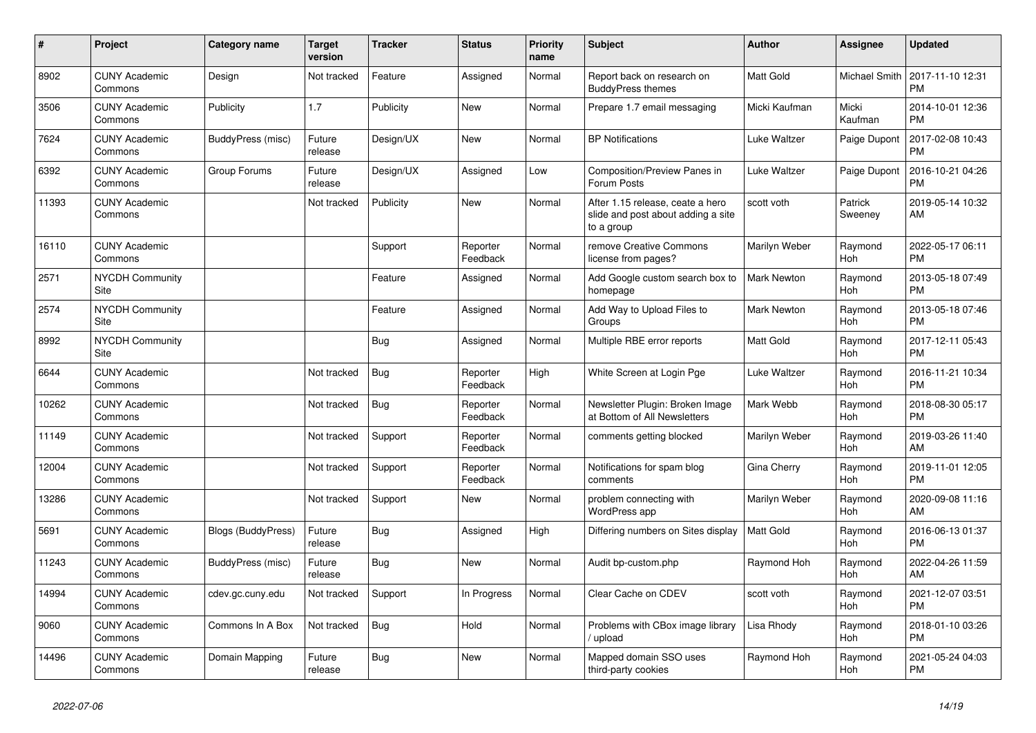| #     | <b>Project</b>                  | Category name             | <b>Target</b><br>version | <b>Tracker</b> | <b>Status</b>        | Priority<br>name | <b>Subject</b>                                                                       | Author             | Assignee           | <b>Updated</b>                |
|-------|---------------------------------|---------------------------|--------------------------|----------------|----------------------|------------------|--------------------------------------------------------------------------------------|--------------------|--------------------|-------------------------------|
| 8902  | <b>CUNY Academic</b><br>Commons | Design                    | Not tracked              | Feature        | Assigned             | Normal           | Report back on research on<br><b>BuddyPress themes</b>                               | <b>Matt Gold</b>   | Michael Smith      | 2017-11-10 12:31<br><b>PM</b> |
| 3506  | <b>CUNY Academic</b><br>Commons | Publicity                 | 1.7                      | Publicity      | New                  | Normal           | Prepare 1.7 email messaging                                                          | Micki Kaufman      | Micki<br>Kaufman   | 2014-10-01 12:36<br><b>PM</b> |
| 7624  | <b>CUNY Academic</b><br>Commons | BuddyPress (misc)         | Future<br>release        | Design/UX      | New                  | Normal           | <b>BP Notifications</b>                                                              | Luke Waltzer       | Paige Dupont       | 2017-02-08 10:43<br><b>PM</b> |
| 6392  | <b>CUNY Academic</b><br>Commons | Group Forums              | Future<br>release        | Design/UX      | Assigned             | Low              | Composition/Preview Panes in<br>Forum Posts                                          | Luke Waltzer       | Paige Dupont       | 2016-10-21 04:26<br><b>PM</b> |
| 11393 | <b>CUNY Academic</b><br>Commons |                           | Not tracked              | Publicity      | New                  | Normal           | After 1.15 release, ceate a hero<br>slide and post about adding a site<br>to a group | scott voth         | Patrick<br>Sweeney | 2019-05-14 10:32<br>AM        |
| 16110 | <b>CUNY Academic</b><br>Commons |                           |                          | Support        | Reporter<br>Feedback | Normal           | remove Creative Commons<br>license from pages?                                       | Marilyn Weber      | Raymond<br>Hoh     | 2022-05-17 06:11<br><b>PM</b> |
| 2571  | <b>NYCDH Community</b><br>Site  |                           |                          | Feature        | Assigned             | Normal           | Add Google custom search box to<br>homepage                                          | Mark Newton        | Raymond<br>Hoh     | 2013-05-18 07:49<br><b>PM</b> |
| 2574  | <b>NYCDH Community</b><br>Site  |                           |                          | Feature        | Assigned             | Normal           | Add Way to Upload Files to<br>Groups                                                 | <b>Mark Newton</b> | Raymond<br>Hoh     | 2013-05-18 07:46<br><b>PM</b> |
| 8992  | <b>NYCDH Community</b><br>Site  |                           |                          | Bug            | Assigned             | Normal           | Multiple RBE error reports                                                           | <b>Matt Gold</b>   | Raymond<br>Hoh     | 2017-12-11 05:43<br><b>PM</b> |
| 6644  | <b>CUNY Academic</b><br>Commons |                           | Not tracked              | <b>Bug</b>     | Reporter<br>Feedback | High             | White Screen at Login Pge                                                            | Luke Waltzer       | Raymond<br>Hoh     | 2016-11-21 10:34<br><b>PM</b> |
| 10262 | <b>CUNY Academic</b><br>Commons |                           | Not tracked              | <b>Bug</b>     | Reporter<br>Feedback | Normal           | Newsletter Plugin: Broken Image<br>at Bottom of All Newsletters                      | Mark Webb          | Raymond<br>Hoh     | 2018-08-30 05:17<br><b>PM</b> |
| 11149 | <b>CUNY Academic</b><br>Commons |                           | Not tracked              | Support        | Reporter<br>Feedback | Normal           | comments getting blocked                                                             | Marilyn Weber      | Raymond<br>Hoh     | 2019-03-26 11:40<br>AM        |
| 12004 | <b>CUNY Academic</b><br>Commons |                           | Not tracked              | Support        | Reporter<br>Feedback | Normal           | Notifications for spam blog<br>comments                                              | Gina Cherry        | Raymond<br>Hoh     | 2019-11-01 12:05<br><b>PM</b> |
| 13286 | <b>CUNY Academic</b><br>Commons |                           | Not tracked              | Support        | New                  | Normal           | problem connecting with<br>WordPress app                                             | Marilyn Weber      | Raymond<br>Hoh     | 2020-09-08 11:16<br>AM        |
| 5691  | <b>CUNY Academic</b><br>Commons | <b>Blogs (BuddyPress)</b> | Future<br>release        | Bug            | Assigned             | High             | Differing numbers on Sites display                                                   | <b>Matt Gold</b>   | Raymond<br>Hoh     | 2016-06-13 01:37<br><b>PM</b> |
| 11243 | <b>CUNY Academic</b><br>Commons | BuddyPress (misc)         | Future<br>release        | Bug            | <b>New</b>           | Normal           | Audit bp-custom.php                                                                  | Raymond Hoh        | Raymond<br>Hoh     | 2022-04-26 11:59<br>AM        |
| 14994 | <b>CUNY Academic</b><br>Commons | cdev.gc.cuny.edu          | Not tracked              | Support        | In Progress          | Normal           | Clear Cache on CDEV                                                                  | scott voth         | Raymond<br>Hoh     | 2021-12-07 03:51<br><b>PM</b> |
| 9060  | <b>CUNY Academic</b><br>Commons | Commons In A Box          | Not tracked              | <b>Bug</b>     | Hold                 | Normal           | Problems with CBox image library<br>upload                                           | Lisa Rhody         | Raymond<br>Hoh     | 2018-01-10 03:26<br><b>PM</b> |
| 14496 | <b>CUNY Academic</b><br>Commons | Domain Mapping            | Future<br>release        | Bug            | <b>New</b>           | Normal           | Mapped domain SSO uses<br>third-party cookies                                        | Raymond Hoh        | Raymond<br>Hoh     | 2021-05-24 04:03<br><b>PM</b> |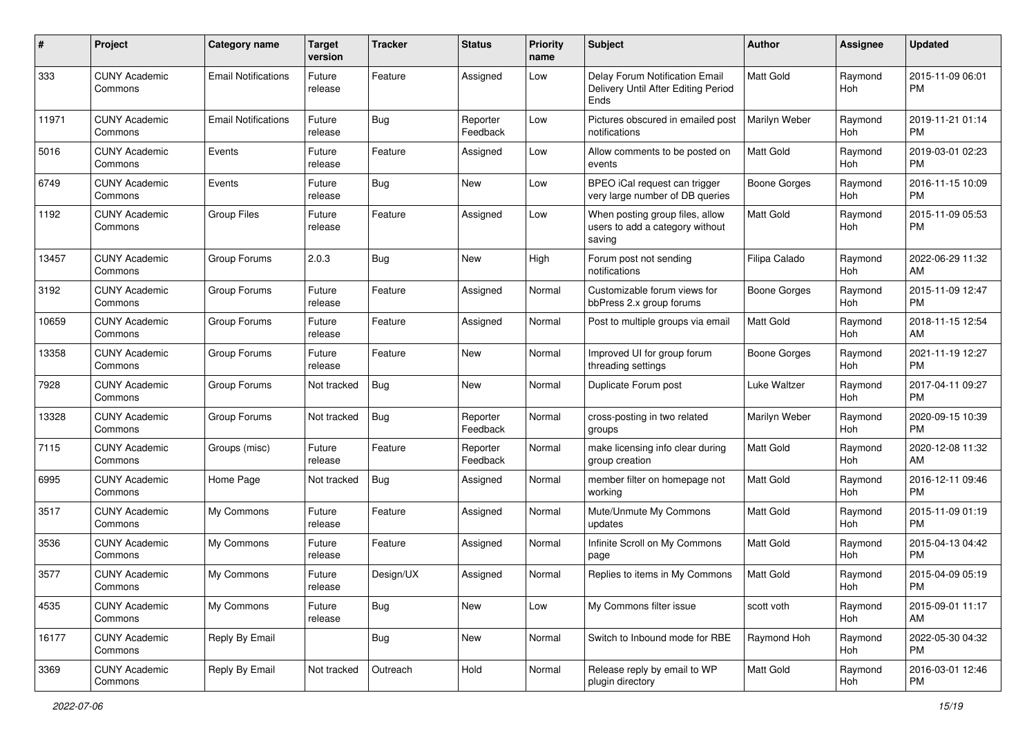| #     | Project                         | <b>Category name</b>       | <b>Target</b><br>version | <b>Tracker</b> | <b>Status</b>        | Priority<br>name | Subject                                                                       | Author           | <b>Assignee</b> | <b>Updated</b>                |
|-------|---------------------------------|----------------------------|--------------------------|----------------|----------------------|------------------|-------------------------------------------------------------------------------|------------------|-----------------|-------------------------------|
| 333   | <b>CUNY Academic</b><br>Commons | <b>Email Notifications</b> | Future<br>release        | Feature        | Assigned             | Low              | Delay Forum Notification Email<br>Delivery Until After Editing Period<br>Ends | <b>Matt Gold</b> | Raymond<br>Hoh  | 2015-11-09 06:01<br><b>PM</b> |
| 11971 | <b>CUNY Academic</b><br>Commons | <b>Email Notifications</b> | Future<br>release        | <b>Bug</b>     | Reporter<br>Feedback | Low              | Pictures obscured in emailed post<br>notifications                            | Marilyn Weber    | Raymond<br>Hoh  | 2019-11-21 01:14<br><b>PM</b> |
| 5016  | <b>CUNY Academic</b><br>Commons | Events                     | Future<br>release        | Feature        | Assigned             | Low              | Allow comments to be posted on<br>events                                      | <b>Matt Gold</b> | Raymond<br>Hoh  | 2019-03-01 02:23<br><b>PM</b> |
| 6749  | <b>CUNY Academic</b><br>Commons | Events                     | Future<br>release        | Bug            | New                  | Low              | BPEO iCal request can trigger<br>very large number of DB queries              | Boone Gorges     | Raymond<br>Hoh  | 2016-11-15 10:09<br><b>PM</b> |
| 1192  | <b>CUNY Academic</b><br>Commons | Group Files                | Future<br>release        | Feature        | Assigned             | Low              | When posting group files, allow<br>users to add a category without<br>saving  | <b>Matt Gold</b> | Raymond<br>Hoh  | 2015-11-09 05:53<br><b>PM</b> |
| 13457 | <b>CUNY Academic</b><br>Commons | Group Forums               | 2.0.3                    | Bug            | New                  | High             | Forum post not sending<br>notifications                                       | Filipa Calado    | Raymond<br>Hoh  | 2022-06-29 11:32<br>AM        |
| 3192  | <b>CUNY Academic</b><br>Commons | Group Forums               | Future<br>release        | Feature        | Assigned             | Normal           | Customizable forum views for<br>bbPress 2.x group forums                      | Boone Gorges     | Raymond<br>Hoh  | 2015-11-09 12:47<br><b>PM</b> |
| 10659 | <b>CUNY Academic</b><br>Commons | Group Forums               | Future<br>release        | Feature        | Assigned             | Normal           | Post to multiple groups via email                                             | <b>Matt Gold</b> | Raymond<br>Hoh  | 2018-11-15 12:54<br>AM        |
| 13358 | <b>CUNY Academic</b><br>Commons | Group Forums               | Future<br>release        | Feature        | New                  | Normal           | Improved UI for group forum<br>threading settings                             | Boone Gorges     | Raymond<br>Hoh  | 2021-11-19 12:27<br><b>PM</b> |
| 7928  | <b>CUNY Academic</b><br>Commons | Group Forums               | Not tracked              | <b>Bug</b>     | New                  | Normal           | Duplicate Forum post                                                          | Luke Waltzer     | Raymond<br>Hoh  | 2017-04-11 09:27<br><b>PM</b> |
| 13328 | <b>CUNY Academic</b><br>Commons | Group Forums               | Not tracked              | <b>Bug</b>     | Reporter<br>Feedback | Normal           | cross-posting in two related<br>groups                                        | Marilyn Weber    | Raymond<br>Hoh  | 2020-09-15 10:39<br><b>PM</b> |
| 7115  | <b>CUNY Academic</b><br>Commons | Groups (misc)              | Future<br>release        | Feature        | Reporter<br>Feedback | Normal           | make licensing info clear during<br>group creation                            | <b>Matt Gold</b> | Raymond<br>Hoh  | 2020-12-08 11:32<br>AM        |
| 6995  | <b>CUNY Academic</b><br>Commons | Home Page                  | Not tracked              | Bug            | Assigned             | Normal           | member filter on homepage not<br>working                                      | <b>Matt Gold</b> | Raymond<br>Hoh  | 2016-12-11 09:46<br><b>PM</b> |
| 3517  | <b>CUNY Academic</b><br>Commons | My Commons                 | Future<br>release        | Feature        | Assigned             | Normal           | Mute/Unmute My Commons<br>updates                                             | <b>Matt Gold</b> | Raymond<br>Hoh  | 2015-11-09 01:19<br><b>PM</b> |
| 3536  | <b>CUNY Academic</b><br>Commons | My Commons                 | Future<br>release        | Feature        | Assigned             | Normal           | Infinite Scroll on My Commons<br>page                                         | Matt Gold        | Raymond<br>Hoh  | 2015-04-13 04:42<br><b>PM</b> |
| 3577  | <b>CUNY Academic</b><br>Commons | My Commons                 | Future<br>release        | Design/UX      | Assigned             | Normal           | Replies to items in My Commons                                                | <b>Matt Gold</b> | Raymond<br>Hoh  | 2015-04-09 05:19<br>PM        |
| 4535  | <b>CUNY Academic</b><br>Commons | My Commons                 | Future<br>release        | <b>Bug</b>     | New                  | Low              | My Commons filter issue                                                       | scott voth       | Raymond<br>Hoh  | 2015-09-01 11:17<br>AM        |
| 16177 | <b>CUNY Academic</b><br>Commons | Reply By Email             |                          | <b>Bug</b>     | New                  | Normal           | Switch to Inbound mode for RBE                                                | Raymond Hoh      | Raymond<br>Hoh  | 2022-05-30 04:32<br><b>PM</b> |
| 3369  | <b>CUNY Academic</b><br>Commons | Reply By Email             | Not tracked              | Outreach       | Hold                 | Normal           | Release reply by email to WP<br>plugin directory                              | Matt Gold        | Raymond<br>Hoh  | 2016-03-01 12:46<br><b>PM</b> |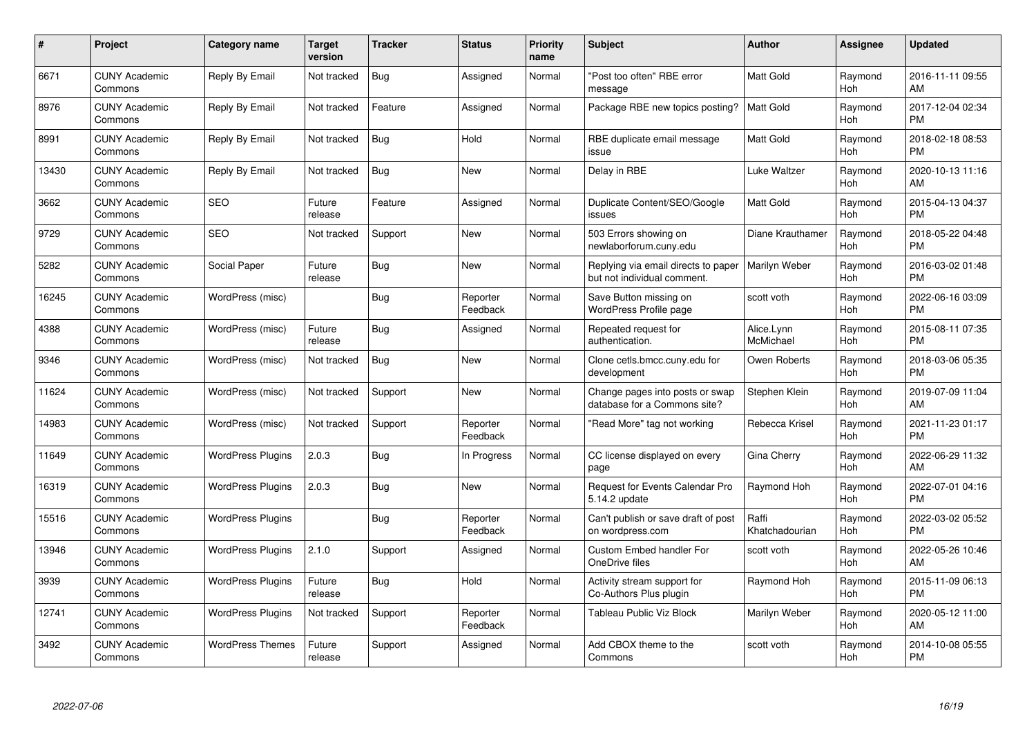| #     | Project                         | <b>Category name</b>     | <b>Target</b><br>version | <b>Tracker</b> | <b>Status</b>        | <b>Priority</b><br>name | <b>Subject</b>                                                     | <b>Author</b>           | <b>Assignee</b> | <b>Updated</b>                |
|-------|---------------------------------|--------------------------|--------------------------|----------------|----------------------|-------------------------|--------------------------------------------------------------------|-------------------------|-----------------|-------------------------------|
| 6671  | <b>CUNY Academic</b><br>Commons | Reply By Email           | Not tracked              | <b>Bug</b>     | Assigned             | Normal                  | "Post too often" RBE error<br>message                              | <b>Matt Gold</b>        | Raymond<br>Hoh  | 2016-11-11 09:55<br>AM        |
| 8976  | <b>CUNY Academic</b><br>Commons | Reply By Email           | Not tracked              | Feature        | Assigned             | Normal                  | Package RBE new topics posting?                                    | <b>Matt Gold</b>        | Raymond<br>Hoh  | 2017-12-04 02:34<br><b>PM</b> |
| 8991  | <b>CUNY Academic</b><br>Commons | Reply By Email           | Not tracked              | <b>Bug</b>     | Hold                 | Normal                  | RBE duplicate email message<br>issue                               | <b>Matt Gold</b>        | Raymond<br>Hoh  | 2018-02-18 08:53<br><b>PM</b> |
| 13430 | <b>CUNY Academic</b><br>Commons | Reply By Email           | Not tracked              | <b>Bug</b>     | <b>New</b>           | Normal                  | Delay in RBE                                                       | Luke Waltzer            | Raymond<br>Hoh  | 2020-10-13 11:16<br>AM        |
| 3662  | <b>CUNY Academic</b><br>Commons | <b>SEO</b>               | Future<br>release        | Feature        | Assigned             | Normal                  | Duplicate Content/SEO/Google<br>issues                             | <b>Matt Gold</b>        | Raymond<br>Hoh  | 2015-04-13 04:37<br><b>PM</b> |
| 9729  | <b>CUNY Academic</b><br>Commons | <b>SEO</b>               | Not tracked              | Support        | <b>New</b>           | Normal                  | 503 Errors showing on<br>newlaborforum.cuny.edu                    | Diane Krauthamer        | Raymond<br>Hoh  | 2018-05-22 04:48<br><b>PM</b> |
| 5282  | <b>CUNY Academic</b><br>Commons | Social Paper             | Future<br>release        | <b>Bug</b>     | New                  | Normal                  | Replying via email directs to paper<br>but not individual comment. | Marilyn Weber           | Raymond<br>Hoh  | 2016-03-02 01:48<br><b>PM</b> |
| 16245 | <b>CUNY Academic</b><br>Commons | WordPress (misc)         |                          | <b>Bug</b>     | Reporter<br>Feedback | Normal                  | Save Button missing on<br>WordPress Profile page                   | scott voth              | Raymond<br>Hoh  | 2022-06-16 03:09<br><b>PM</b> |
| 4388  | <b>CUNY Academic</b><br>Commons | WordPress (misc)         | Future<br>release        | <b>Bug</b>     | Assigned             | Normal                  | Repeated request for<br>authentication.                            | Alice.Lynn<br>McMichael | Raymond<br>Hoh  | 2015-08-11 07:35<br><b>PM</b> |
| 9346  | <b>CUNY Academic</b><br>Commons | WordPress (misc)         | Not tracked              | Bug            | New                  | Normal                  | Clone cetls.bmcc.cuny.edu for<br>development                       | Owen Roberts            | Raymond<br>Hoh  | 2018-03-06 05:35<br><b>PM</b> |
| 11624 | <b>CUNY Academic</b><br>Commons | WordPress (misc)         | Not tracked              | Support        | New                  | Normal                  | Change pages into posts or swap<br>database for a Commons site?    | Stephen Klein           | Raymond<br>Hoh  | 2019-07-09 11:04<br>AM        |
| 14983 | <b>CUNY Academic</b><br>Commons | WordPress (misc)         | Not tracked              | Support        | Reporter<br>Feedback | Normal                  | "Read More" tag not working                                        | Rebecca Krisel          | Raymond<br>Hoh  | 2021-11-23 01:17<br><b>PM</b> |
| 11649 | <b>CUNY Academic</b><br>Commons | <b>WordPress Plugins</b> | 2.0.3                    | <b>Bug</b>     | In Progress          | Normal                  | CC license displayed on every<br>page                              | Gina Cherry             | Raymond<br>Hoh  | 2022-06-29 11:32<br>AM        |
| 16319 | <b>CUNY Academic</b><br>Commons | <b>WordPress Plugins</b> | 2.0.3                    | Bug            | New                  | Normal                  | <b>Request for Events Calendar Pro</b><br>5.14.2 update            | Raymond Hoh             | Raymond<br>Hoh  | 2022-07-01 04:16<br><b>PM</b> |
| 15516 | <b>CUNY Academic</b><br>Commons | <b>WordPress Plugins</b> |                          | <b>Bug</b>     | Reporter<br>Feedback | Normal                  | Can't publish or save draft of post<br>on wordpress.com            | Raffi<br>Khatchadourian | Raymond<br>Hoh  | 2022-03-02 05:52<br><b>PM</b> |
| 13946 | <b>CUNY Academic</b><br>Commons | <b>WordPress Plugins</b> | 2.1.0                    | Support        | Assigned             | Normal                  | Custom Embed handler For<br>OneDrive files                         | scott voth              | Raymond<br>Hoh  | 2022-05-26 10:46<br>AM        |
| 3939  | <b>CUNY Academic</b><br>Commons | <b>WordPress Plugins</b> | Future<br>release        | Bug            | Hold                 | Normal                  | Activity stream support for<br>Co-Authors Plus plugin              | Raymond Hoh             | Raymond<br>Hoh  | 2015-11-09 06:13<br><b>PM</b> |
| 12741 | <b>CUNY Academic</b><br>Commons | <b>WordPress Plugins</b> | Not tracked              | Support        | Reporter<br>Feedback | Normal                  | <b>Tableau Public Viz Block</b>                                    | Marilyn Weber           | Raymond<br>Hoh  | 2020-05-12 11:00<br>AM        |
| 3492  | <b>CUNY Academic</b><br>Commons | <b>WordPress Themes</b>  | Future<br>release        | Support        | Assigned             | Normal                  | Add CBOX theme to the<br>Commons                                   | scott voth              | Raymond<br>Hoh  | 2014-10-08 05:55<br><b>PM</b> |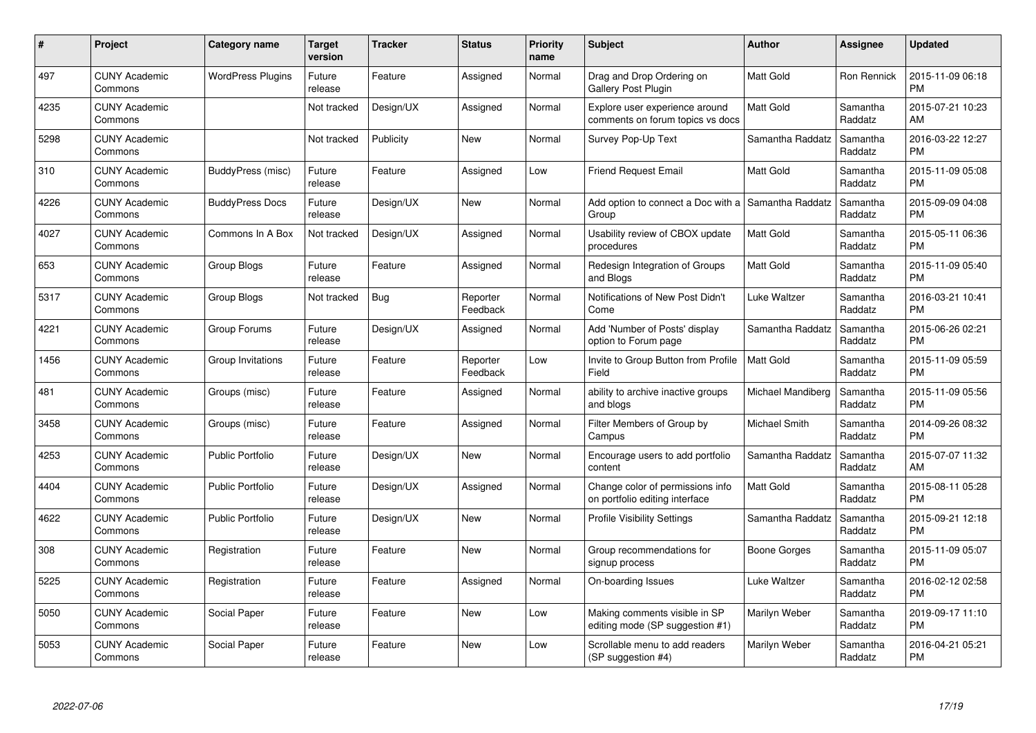| $\#$ | Project                         | <b>Category name</b>     | <b>Target</b><br>version | <b>Tracker</b> | <b>Status</b>        | <b>Priority</b><br>name | <b>Subject</b>                                                       | <b>Author</b>     | <b>Assignee</b>     | <b>Updated</b>                |
|------|---------------------------------|--------------------------|--------------------------|----------------|----------------------|-------------------------|----------------------------------------------------------------------|-------------------|---------------------|-------------------------------|
| 497  | <b>CUNY Academic</b><br>Commons | <b>WordPress Plugins</b> | Future<br>release        | Feature        | Assigned             | Normal                  | Drag and Drop Ordering on<br><b>Gallery Post Plugin</b>              | <b>Matt Gold</b>  | Ron Rennick         | 2015-11-09 06:18<br><b>PM</b> |
| 4235 | <b>CUNY Academic</b><br>Commons |                          | Not tracked              | Design/UX      | Assigned             | Normal                  | Explore user experience around<br>comments on forum topics vs docs   | <b>Matt Gold</b>  | Samantha<br>Raddatz | 2015-07-21 10:23<br>AM        |
| 5298 | <b>CUNY Academic</b><br>Commons |                          | Not tracked              | Publicity      | New                  | Normal                  | Survey Pop-Up Text                                                   | Samantha Raddatz  | Samantha<br>Raddatz | 2016-03-22 12:27<br><b>PM</b> |
| 310  | <b>CUNY Academic</b><br>Commons | BuddyPress (misc)        | Future<br>release        | Feature        | Assigned             | Low                     | <b>Friend Request Email</b>                                          | Matt Gold         | Samantha<br>Raddatz | 2015-11-09 05:08<br><b>PM</b> |
| 4226 | <b>CUNY Academic</b><br>Commons | <b>BuddyPress Docs</b>   | Future<br>release        | Design/UX      | New                  | Normal                  | Add option to connect a Doc with a $\vert$ Samantha Raddatz<br>Group |                   | Samantha<br>Raddatz | 2015-09-09 04:08<br><b>PM</b> |
| 4027 | <b>CUNY Academic</b><br>Commons | Commons In A Box         | Not tracked              | Design/UX      | Assigned             | Normal                  | Usability review of CBOX update<br>procedures                        | <b>Matt Gold</b>  | Samantha<br>Raddatz | 2015-05-11 06:36<br><b>PM</b> |
| 653  | <b>CUNY Academic</b><br>Commons | <b>Group Blogs</b>       | Future<br>release        | Feature        | Assigned             | Normal                  | Redesign Integration of Groups<br>and Blogs                          | <b>Matt Gold</b>  | Samantha<br>Raddatz | 2015-11-09 05:40<br><b>PM</b> |
| 5317 | <b>CUNY Academic</b><br>Commons | Group Blogs              | Not tracked              | Bug            | Reporter<br>Feedback | Normal                  | Notifications of New Post Didn't<br>Come                             | Luke Waltzer      | Samantha<br>Raddatz | 2016-03-21 10:41<br><b>PM</b> |
| 4221 | <b>CUNY Academic</b><br>Commons | Group Forums             | Future<br>release        | Design/UX      | Assigned             | Normal                  | Add 'Number of Posts' display<br>option to Forum page                | Samantha Raddatz  | Samantha<br>Raddatz | 2015-06-26 02:21<br><b>PM</b> |
| 1456 | <b>CUNY Academic</b><br>Commons | Group Invitations        | Future<br>release        | Feature        | Reporter<br>Feedback | Low                     | Invite to Group Button from Profile<br>Field                         | <b>Matt Gold</b>  | Samantha<br>Raddatz | 2015-11-09 05:59<br>PM        |
| 481  | <b>CUNY Academic</b><br>Commons | Groups (misc)            | Future<br>release        | Feature        | Assigned             | Normal                  | ability to archive inactive groups<br>and blogs                      | Michael Mandiberg | Samantha<br>Raddatz | 2015-11-09 05:56<br><b>PM</b> |
| 3458 | <b>CUNY Academic</b><br>Commons | Groups (misc)            | Future<br>release        | Feature        | Assigned             | Normal                  | Filter Members of Group by<br>Campus                                 | Michael Smith     | Samantha<br>Raddatz | 2014-09-26 08:32<br><b>PM</b> |
| 4253 | <b>CUNY Academic</b><br>Commons | <b>Public Portfolio</b>  | Future<br>release        | Design/UX      | New                  | Normal                  | Encourage users to add portfolio<br>content                          | Samantha Raddatz  | Samantha<br>Raddatz | 2015-07-07 11:32<br>AM        |
| 4404 | <b>CUNY Academic</b><br>Commons | <b>Public Portfolio</b>  | Future<br>release        | Design/UX      | Assigned             | Normal                  | Change color of permissions info<br>on portfolio editing interface   | <b>Matt Gold</b>  | Samantha<br>Raddatz | 2015-08-11 05:28<br><b>PM</b> |
| 4622 | <b>CUNY Academic</b><br>Commons | <b>Public Portfolio</b>  | Future<br>release        | Design/UX      | New                  | Normal                  | <b>Profile Visibility Settings</b>                                   | Samantha Raddatz  | Samantha<br>Raddatz | 2015-09-21 12:18<br><b>PM</b> |
| 308  | <b>CUNY Academic</b><br>Commons | Registration             | Future<br>release        | Feature        | <b>New</b>           | Normal                  | Group recommendations for<br>signup process                          | Boone Gorges      | Samantha<br>Raddatz | 2015-11-09 05:07<br><b>PM</b> |
| 5225 | <b>CUNY Academic</b><br>Commons | Registration             | Future<br>release        | Feature        | Assigned             | Normal                  | On-boarding Issues                                                   | Luke Waltzer      | Samantha<br>Raddatz | 2016-02-12 02:58<br><b>PM</b> |
| 5050 | <b>CUNY Academic</b><br>Commons | Social Paper             | Future<br>release        | Feature        | New                  | Low                     | Making comments visible in SP<br>editing mode (SP suggestion #1)     | Marilyn Weber     | Samantha<br>Raddatz | 2019-09-17 11:10<br><b>PM</b> |
| 5053 | <b>CUNY Academic</b><br>Commons | Social Paper             | Future<br>release        | Feature        | <b>New</b>           | Low                     | Scrollable menu to add readers<br>(SP suggestion #4)                 | Marilyn Weber     | Samantha<br>Raddatz | 2016-04-21 05:21<br><b>PM</b> |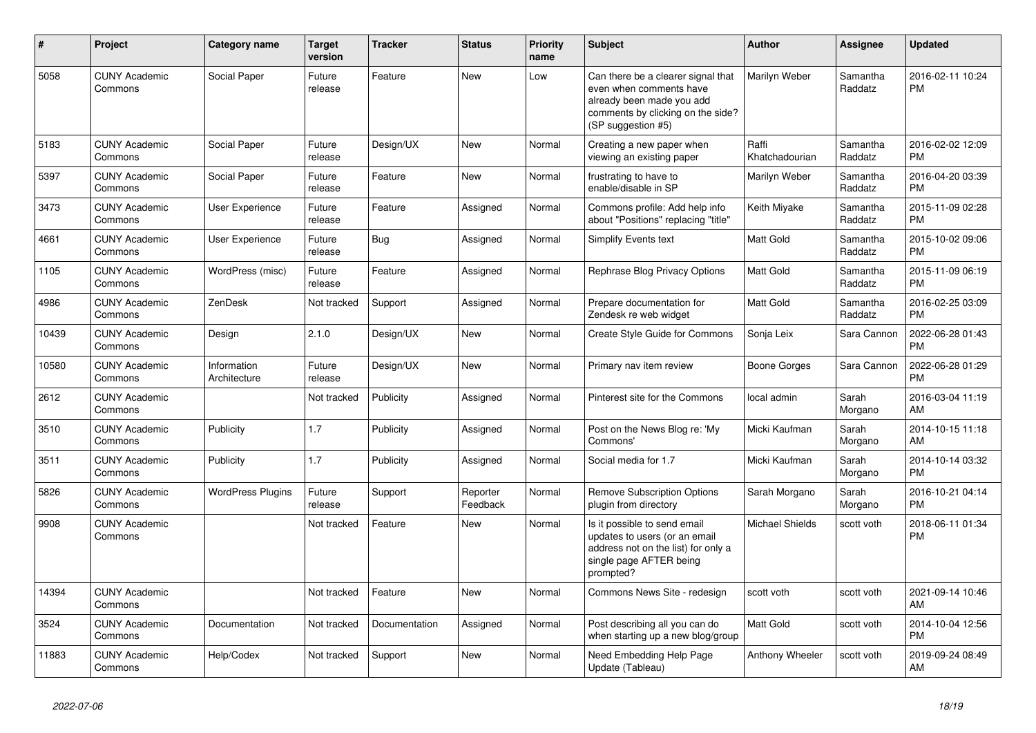| #     | <b>Project</b>                  | Category name               | <b>Target</b><br>version | <b>Tracker</b> | <b>Status</b>        | <b>Priority</b><br>name | <b>Subject</b>                                                                                                                                        | Author                  | <b>Assignee</b>     | <b>Updated</b>                |
|-------|---------------------------------|-----------------------------|--------------------------|----------------|----------------------|-------------------------|-------------------------------------------------------------------------------------------------------------------------------------------------------|-------------------------|---------------------|-------------------------------|
| 5058  | <b>CUNY Academic</b><br>Commons | Social Paper                | Future<br>release        | Feature        | <b>New</b>           | Low                     | Can there be a clearer signal that<br>even when comments have<br>already been made you add<br>comments by clicking on the side?<br>(SP suggestion #5) | Marilyn Weber           | Samantha<br>Raddatz | 2016-02-11 10:24<br><b>PM</b> |
| 5183  | <b>CUNY Academic</b><br>Commons | Social Paper                | Future<br>release        | Design/UX      | <b>New</b>           | Normal                  | Creating a new paper when<br>viewing an existing paper                                                                                                | Raffi<br>Khatchadourian | Samantha<br>Raddatz | 2016-02-02 12:09<br><b>PM</b> |
| 5397  | <b>CUNY Academic</b><br>Commons | Social Paper                | Future<br>release        | Feature        | <b>New</b>           | Normal                  | frustrating to have to<br>enable/disable in SP                                                                                                        | Marilyn Weber           | Samantha<br>Raddatz | 2016-04-20 03:39<br><b>PM</b> |
| 3473  | <b>CUNY Academic</b><br>Commons | User Experience             | Future<br>release        | Feature        | Assigned             | Normal                  | Commons profile: Add help info<br>about "Positions" replacing "title"                                                                                 | Keith Miyake            | Samantha<br>Raddatz | 2015-11-09 02:28<br><b>PM</b> |
| 4661  | <b>CUNY Academic</b><br>Commons | User Experience             | Future<br>release        | Bug            | Assigned             | Normal                  | <b>Simplify Events text</b>                                                                                                                           | <b>Matt Gold</b>        | Samantha<br>Raddatz | 2015-10-02 09:06<br><b>PM</b> |
| 1105  | <b>CUNY Academic</b><br>Commons | WordPress (misc)            | Future<br>release        | Feature        | Assigned             | Normal                  | Rephrase Blog Privacy Options                                                                                                                         | Matt Gold               | Samantha<br>Raddatz | 2015-11-09 06:19<br><b>PM</b> |
| 4986  | <b>CUNY Academic</b><br>Commons | ZenDesk                     | Not tracked              | Support        | Assigned             | Normal                  | Prepare documentation for<br>Zendesk re web widget                                                                                                    | Matt Gold               | Samantha<br>Raddatz | 2016-02-25 03:09<br><b>PM</b> |
| 10439 | <b>CUNY Academic</b><br>Commons | Design                      | 2.1.0                    | Design/UX      | New                  | Normal                  | Create Style Guide for Commons                                                                                                                        | Sonja Leix              | Sara Cannon         | 2022-06-28 01:43<br><b>PM</b> |
| 10580 | <b>CUNY Academic</b><br>Commons | Information<br>Architecture | Future<br>release        | Design/UX      | <b>New</b>           | Normal                  | Primary nav item review                                                                                                                               | Boone Gorges            | Sara Cannon         | 2022-06-28 01:29<br><b>PM</b> |
| 2612  | <b>CUNY Academic</b><br>Commons |                             | Not tracked              | Publicity      | Assigned             | Normal                  | Pinterest site for the Commons                                                                                                                        | local admin             | Sarah<br>Morgano    | 2016-03-04 11:19<br>AM        |
| 3510  | <b>CUNY Academic</b><br>Commons | Publicity                   | 1.7                      | Publicity      | Assigned             | Normal                  | Post on the News Blog re: 'My<br>Commons'                                                                                                             | Micki Kaufman           | Sarah<br>Morgano    | 2014-10-15 11:18<br>AM        |
| 3511  | <b>CUNY Academic</b><br>Commons | Publicity                   | 1.7                      | Publicity      | Assigned             | Normal                  | Social media for 1.7                                                                                                                                  | Micki Kaufman           | Sarah<br>Morgano    | 2014-10-14 03:32<br><b>PM</b> |
| 5826  | <b>CUNY Academic</b><br>Commons | <b>WordPress Plugins</b>    | Future<br>release        | Support        | Reporter<br>Feedback | Normal                  | <b>Remove Subscription Options</b><br>plugin from directory                                                                                           | Sarah Morgano           | Sarah<br>Morgano    | 2016-10-21 04:14<br><b>PM</b> |
| 9908  | <b>CUNY Academic</b><br>Commons |                             | Not tracked              | Feature        | <b>New</b>           | Normal                  | Is it possible to send email<br>updates to users (or an email<br>address not on the list) for only a<br>single page AFTER being<br>prompted?          | <b>Michael Shields</b>  | scott voth          | 2018-06-11 01:34<br><b>PM</b> |
| 14394 | <b>CUNY Academic</b><br>Commons |                             | Not tracked              | Feature        | New                  | Normal                  | Commons News Site - redesign                                                                                                                          | scott voth              | scott voth          | 2021-09-14 10:46<br>AM        |
| 3524  | <b>CUNY Academic</b><br>Commons | Documentation               | Not tracked              | Documentation  | Assigned             | Normal                  | Post describing all you can do<br>when starting up a new blog/group                                                                                   | Matt Gold               | scott voth          | 2014-10-04 12:56<br><b>PM</b> |
| 11883 | <b>CUNY Academic</b><br>Commons | Help/Codex                  | Not tracked              | Support        | <b>New</b>           | Normal                  | Need Embedding Help Page<br>Update (Tableau)                                                                                                          | Anthony Wheeler         | scott voth          | 2019-09-24 08:49<br>AM        |